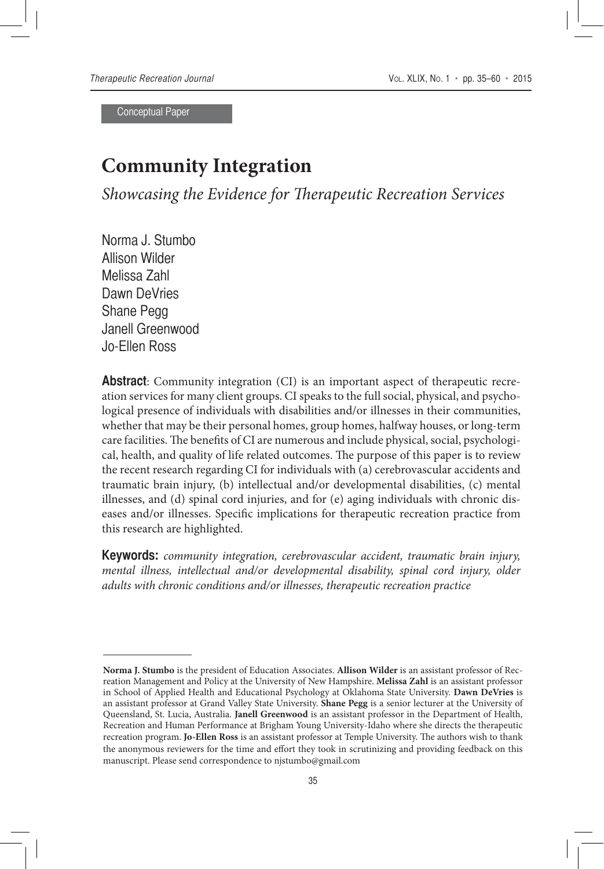Conceptual Paper

# **Community Integration**

*Showcasing the Evidence for Therapeutic Recreation Services*

Norma J. Stumbo Allison Wilder Melissa Zahl Dawn DeVries Shane Pegg Janell Greenwood Jo-Ellen Ross

**Abstract**: Community integration (CI) is an important aspect of therapeutic recreation services for many client groups. CI speaks to the full social, physical, and psychological presence of individuals with disabilities and/or illnesses in their communities, whether that may be their personal homes, group homes, halfway houses, or long-term care facilities. The benefits of CI are numerous and include physical, social, psychological, health, and quality of life related outcomes. The purpose of this paper is to review the recent research regarding CI for individuals with (a) cerebrovascular accidents and traumatic brain injury, (b) intellectual and/or developmental disabilities, (c) mental illnesses, and (d) spinal cord injuries, and for (e) aging individuals with chronic diseases and/or illnesses. Specific implications for therapeutic recreation practice from this research are highlighted.

**Keywords:** *community integration, cerebrovascular accident, traumatic brain injury, mental illness, intellectual and/or developmental disability, spinal cord injury, older adults with chronic conditions and/or illnesses, therapeutic recreation practice*

**Norma J. Stumbo** is the president of Education Associates. **Allison Wilder** is an assistant professor of Recreation Management and Policy at the University of New Hampshire. **Melissa Zahl** is an assistant professor in School of Applied Health and Educational Psychology at Oklahoma State University. **Dawn DeVries** is an assistant professor at Grand Valley State University. **Shane Pegg** is a senior lecturer at the University of Queensland, St. Lucia, Australia. **Janell Greenwood** is an assistant professor in the Department of Health, Recreation and Human Performance at Brigham Young University-Idaho where she directs the therapeutic recreation program. **Jo-Ellen Ross** is an assistant professor at Temple University. The authors wish to thank the anonymous reviewers for the time and effort they took in scrutinizing and providing feedback on this manuscript. Please send correspondence to njstumbo@gmail.com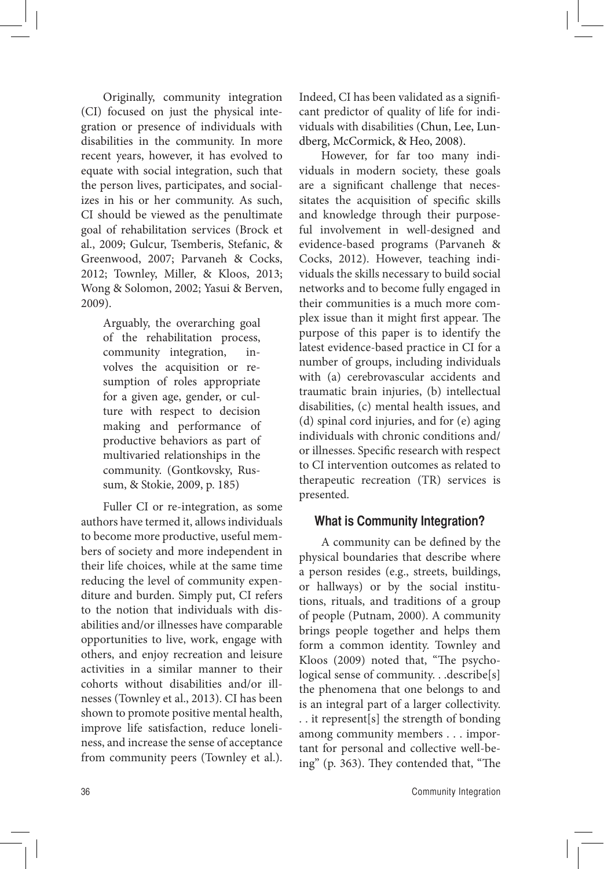Originally, community integration (CI) focused on just the physical integration or presence of individuals with disabilities in the community. In more recent years, however, it has evolved to equate with social integration, such that the person lives, participates, and socializes in his or her community. As such, CI should be viewed as the penultimate goal of rehabilitation services (Brock et al., 2009; Gulcur, Tsemberis, Stefanic, & Greenwood, 2007; Parvaneh & Cocks, 2012; Townley, Miller, & Kloos, 2013; Wong & Solomon, 2002; Yasui & Berven, 2009).

> Arguably, the overarching goal of the rehabilitation process, community integration, involves the acquisition or resumption of roles appropriate for a given age, gender, or culture with respect to decision making and performance of productive behaviors as part of multivaried relationships in the community. (Gontkovsky, Russum, & Stokie, 2009, p. 185)

Fuller CI or re-integration, as some authors have termed it, allows individuals to become more productive, useful members of society and more independent in their life choices, while at the same time reducing the level of community expenditure and burden. Simply put, CI refers to the notion that individuals with disabilities and/or illnesses have comparable opportunities to live, work, engage with others, and enjoy recreation and leisure activities in a similar manner to their cohorts without disabilities and/or illnesses (Townley et al., 2013). CI has been shown to promote positive mental health, improve life satisfaction, reduce loneliness, and increase the sense of acceptance from community peers (Townley et al.). Indeed, CI has been validated as a significant predictor of quality of life for individuals with disabilities (Chun, Lee, Lundberg, McCormick, & Heo, 2008).

However, for far too many individuals in modern society, these goals are a significant challenge that necessitates the acquisition of specific skills and knowledge through their purposeful involvement in well-designed and evidence-based programs (Parvaneh & Cocks, 2012). However, teaching individuals the skills necessary to build social networks and to become fully engaged in their communities is a much more complex issue than it might first appear. The purpose of this paper is to identify the latest evidence-based practice in CI for a number of groups, including individuals with (a) cerebrovascular accidents and traumatic brain injuries, (b) intellectual disabilities, (c) mental health issues, and (d) spinal cord injuries, and for (e) aging individuals with chronic conditions and/ or illnesses. Specific research with respect to CI intervention outcomes as related to therapeutic recreation (TR) services is presented.

# **What is Community Integration?**

A community can be defined by the physical boundaries that describe where a person resides (e.g., streets, buildings, or hallways) or by the social institutions, rituals, and traditions of a group of people (Putnam, 2000). A community brings people together and helps them form a common identity. Townley and Kloos (2009) noted that, "The psychological sense of community. . .describe[s] the phenomena that one belongs to and is an integral part of a larger collectivity. . . it represent[s] the strength of bonding among community members . . . important for personal and collective well-being" (p. 363). They contended that, "The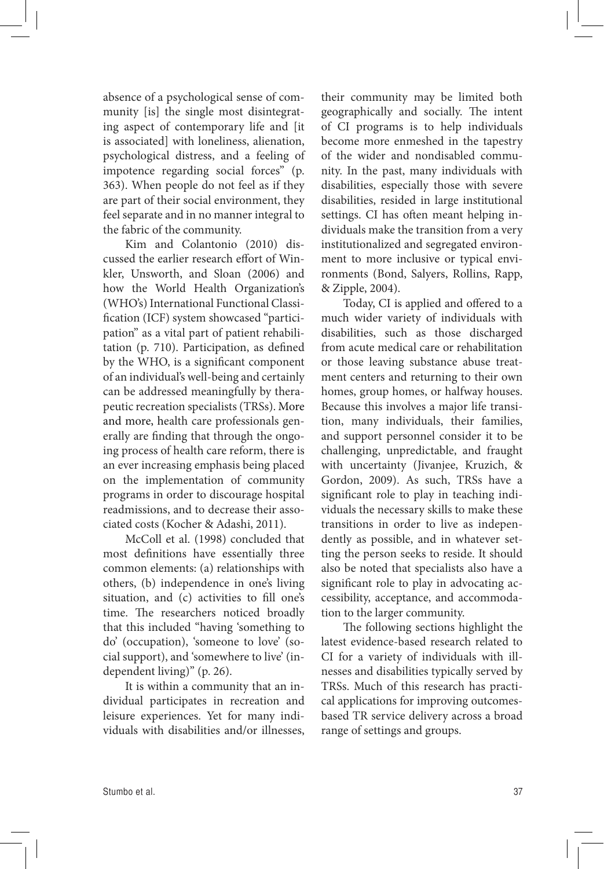absence of a psychological sense of community [is] the single most disintegrating aspect of contemporary life and [it is associated] with loneliness, alienation, psychological distress, and a feeling of impotence regarding social forces" (p. 363). When people do not feel as if they are part of their social environment, they feel separate and in no manner integral to the fabric of the community.

Kim and Colantonio (2010) discussed the earlier research effort of Winkler, Unsworth, and Sloan (2006) and how the World Health Organization's (WHO's) International Functional Classification (ICF) system showcased "participation" as a vital part of patient rehabilitation (p. 710). Participation, as defined by the WHO, is a significant component of an individual's well-being and certainly can be addressed meaningfully by therapeutic recreation specialists (TRSs). More and more, health care professionals generally are finding that through the ongoing process of health care reform, there is an ever increasing emphasis being placed on the implementation of community programs in order to discourage hospital readmissions, and to decrease their associated costs (Kocher & Adashi, 2011).

McColl et al. (1998) concluded that most definitions have essentially three common elements: (a) relationships with others, (b) independence in one's living situation, and (c) activities to fill one's time. The researchers noticed broadly that this included "having 'something to do' (occupation), 'someone to love' (social support), and 'somewhere to live' (independent living)" (p. 26).

It is within a community that an individual participates in recreation and leisure experiences. Yet for many individuals with disabilities and/or illnesses, their community may be limited both geographically and socially. The intent of CI programs is to help individuals become more enmeshed in the tapestry of the wider and nondisabled community. In the past, many individuals with disabilities, especially those with severe disabilities, resided in large institutional settings. CI has often meant helping individuals make the transition from a very institutionalized and segregated environment to more inclusive or typical environments (Bond, Salyers, Rollins, Rapp, & Zipple, 2004).

Today, CI is applied and offered to a much wider variety of individuals with disabilities, such as those discharged from acute medical care or rehabilitation or those leaving substance abuse treatment centers and returning to their own homes, group homes, or halfway houses. Because this involves a major life transition, many individuals, their families, and support personnel consider it to be challenging, unpredictable, and fraught with uncertainty (Jivanjee, Kruzich, & Gordon, 2009). As such, TRSs have a significant role to play in teaching individuals the necessary skills to make these transitions in order to live as independently as possible, and in whatever setting the person seeks to reside. It should also be noted that specialists also have a significant role to play in advocating accessibility, acceptance, and accommodation to the larger community.

The following sections highlight the latest evidence-based research related to CI for a variety of individuals with illnesses and disabilities typically served by TRSs. Much of this research has practical applications for improving outcomesbased TR service delivery across a broad range of settings and groups.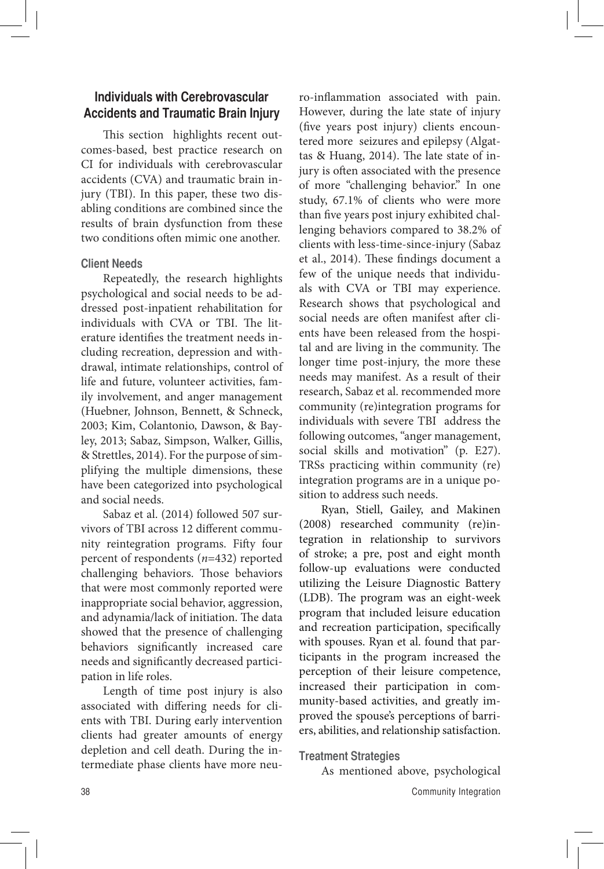# **Individuals with Cerebrovascular Accidents and Traumatic Brain Injury**

This section highlights recent outcomes-based, best practice research on CI for individuals with cerebrovascular accidents (CVA) and traumatic brain injury (TBI). In this paper, these two disabling conditions are combined since the results of brain dysfunction from these two conditions often mimic one another.

# **Client Needs**

Repeatedly, the research highlights psychological and social needs to be addressed post-inpatient rehabilitation for individuals with CVA or TBI. The literature identifies the treatment needs including recreation, depression and withdrawal, intimate relationships, control of life and future, volunteer activities, family involvement, and anger management (Huebner, Johnson, Bennett, & Schneck, 2003; Kim, Colantonio, Dawson, & Bayley, 2013; Sabaz, Simpson, Walker, Gillis, & Strettles, 2014). For the purpose of simplifying the multiple dimensions, these have been categorized into psychological and social needs.

Sabaz et al. (2014) followed 507 survivors of TBI across 12 different community reintegration programs. Fifty four percent of respondents (*n*=432) reported challenging behaviors. Those behaviors that were most commonly reported were inappropriate social behavior, aggression, and adynamia/lack of initiation. The data showed that the presence of challenging behaviors significantly increased care needs and significantly decreased participation in life roles.

Length of time post injury is also associated with differing needs for clients with TBI. During early intervention clients had greater amounts of energy depletion and cell death. During the intermediate phase clients have more neuro-inflammation associated with pain. However, during the late state of injury (five years post injury) clients encountered more seizures and epilepsy (Algattas & Huang, 2014). The late state of injury is often associated with the presence of more "challenging behavior." In one study, 67.1% of clients who were more than five years post injury exhibited challenging behaviors compared to 38.2% of clients with less-time-since-injury (Sabaz et al., 2014). These findings document a few of the unique needs that individuals with CVA or TBI may experience. Research shows that psychological and social needs are often manifest after clients have been released from the hospital and are living in the community. The longer time post-injury, the more these needs may manifest. As a result of their research, Sabaz et al. recommended more community (re)integration programs for individuals with severe TBI address the following outcomes, "anger management, social skills and motivation" (p. E27). TRSs practicing within community (re) integration programs are in a unique position to address such needs.

Ryan, Stiell, Gailey, and Makinen (2008) researched community (re)integration in relationship to survivors of stroke; a pre, post and eight month follow-up evaluations were conducted utilizing the Leisure Diagnostic Battery (LDB). The program was an eight-week program that included leisure education and recreation participation, specifically with spouses. Ryan et al. found that participants in the program increased the perception of their leisure competence, increased their participation in community-based activities, and greatly improved the spouse's perceptions of barriers, abilities, and relationship satisfaction.

### **Treatment Strategies**

As mentioned above, psychological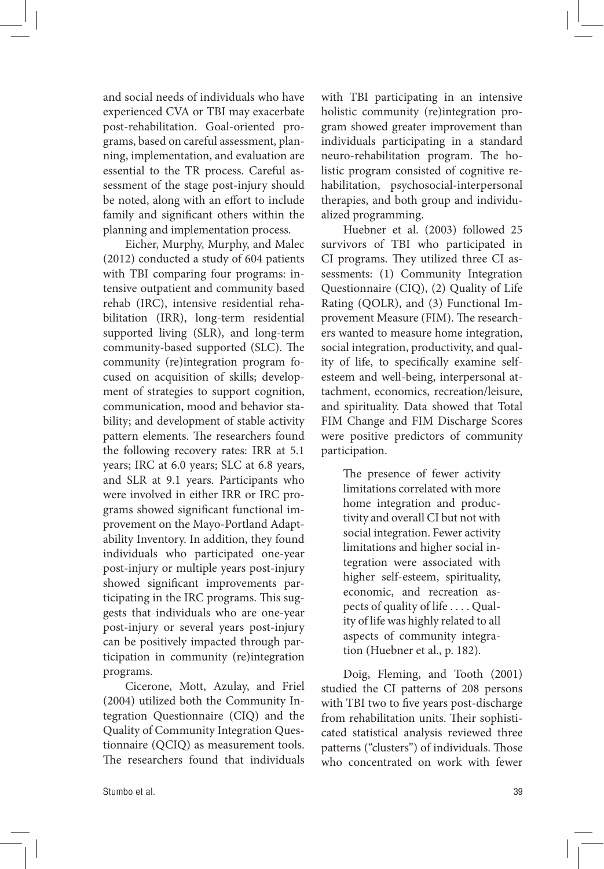and social needs of individuals who have experienced CVA or TBI may exacerbate post-rehabilitation. Goal-oriented programs, based on careful assessment, planning, implementation, and evaluation are essential to the TR process. Careful assessment of the stage post-injury should be noted, along with an effort to include family and significant others within the planning and implementation process.

Eicher, Murphy, Murphy, and Malec (2012) conducted a study of 604 patients with TBI comparing four programs: intensive outpatient and community based rehab (IRC), intensive residential rehabilitation (IRR), long-term residential supported living (SLR), and long-term community-based supported (SLC). The community (re)integration program focused on acquisition of skills; development of strategies to support cognition, communication, mood and behavior stability; and development of stable activity pattern elements. The researchers found the following recovery rates: IRR at 5.1 years; IRC at 6.0 years; SLC at 6.8 years, and SLR at 9.1 years. Participants who were involved in either IRR or IRC programs showed significant functional improvement on the Mayo-Portland Adaptability Inventory. In addition, they found individuals who participated one-year post-injury or multiple years post-injury showed significant improvements participating in the IRC programs. This suggests that individuals who are one-year post-injury or several years post-injury can be positively impacted through participation in community (re)integration programs.

Cicerone, Mott, Azulay, and Friel (2004) utilized both the Community Integration Questionnaire (CIQ) and the Quality of Community Integration Questionnaire (QCIQ) as measurement tools. The researchers found that individuals with TBI participating in an intensive holistic community (re)integration program showed greater improvement than individuals participating in a standard neuro-rehabilitation program. The holistic program consisted of cognitive rehabilitation, psychosocial-interpersonal therapies, and both group and individualized programming.

Huebner et al. (2003) followed 25 survivors of TBI who participated in CI programs. They utilized three CI assessments: (1) Community Integration Questionnaire (CIQ), (2) Quality of Life Rating (QOLR), and (3) Functional Improvement Measure (FIM). The researchers wanted to measure home integration, social integration, productivity, and quality of life, to specifically examine selfesteem and well-being, interpersonal attachment, economics, recreation/leisure, and spirituality. Data showed that Total FIM Change and FIM Discharge Scores were positive predictors of community participation.

> The presence of fewer activity limitations correlated with more home integration and productivity and overall CI but not with social integration. Fewer activity limitations and higher social integration were associated with higher self-esteem, spirituality, economic, and recreation aspects of quality of life . . . . Quality of life was highly related to all aspects of community integration (Huebner et al., p. 182).

Doig, Fleming, and Tooth (2001) studied the CI patterns of 208 persons with TBI two to five years post-discharge from rehabilitation units. Their sophisticated statistical analysis reviewed three patterns ("clusters") of individuals. Those who concentrated on work with fewer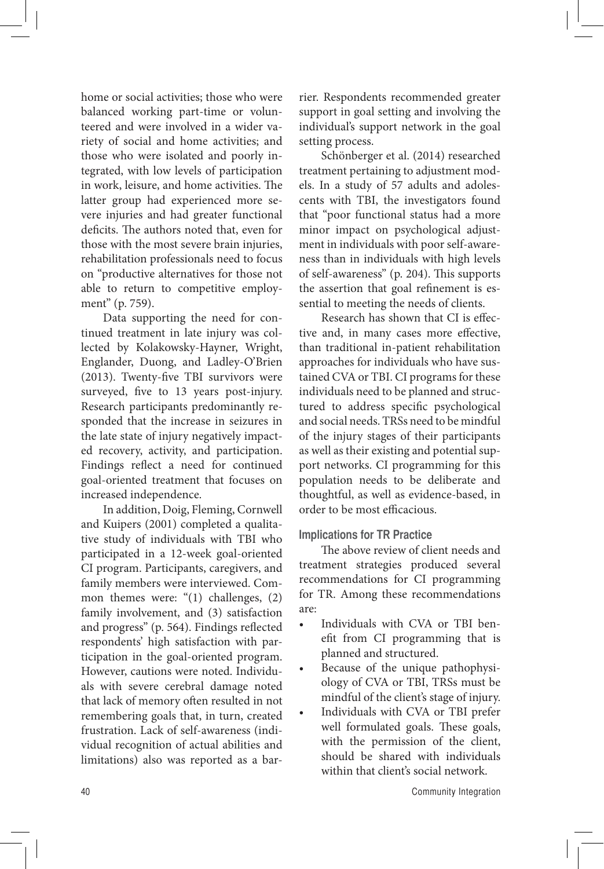home or social activities; those who were balanced working part-time or volunteered and were involved in a wider variety of social and home activities; and those who were isolated and poorly integrated, with low levels of participation in work, leisure, and home activities. The latter group had experienced more severe injuries and had greater functional deficits. The authors noted that, even for those with the most severe brain injuries, rehabilitation professionals need to focus on "productive alternatives for those not able to return to competitive employment" (p. 759).

Data supporting the need for continued treatment in late injury was collected by Kolakowsky-Hayner, Wright, Englander, Duong, and Ladley-O'Brien (2013). Twenty-five TBI survivors were surveyed, five to 13 years post-injury. Research participants predominantly responded that the increase in seizures in the late state of injury negatively impacted recovery, activity, and participation. Findings reflect a need for continued goal-oriented treatment that focuses on increased independence.

In addition, Doig, Fleming, Cornwell and Kuipers (2001) completed a qualitative study of individuals with TBI who participated in a 12-week goal-oriented CI program. Participants, caregivers, and family members were interviewed. Common themes were: "(1) challenges, (2) family involvement, and (3) satisfaction and progress" (p. 564). Findings reflected respondents' high satisfaction with participation in the goal-oriented program. However, cautions were noted. Individuals with severe cerebral damage noted that lack of memory often resulted in not remembering goals that, in turn, created frustration. Lack of self-awareness (individual recognition of actual abilities and limitations) also was reported as a barrier. Respondents recommended greater support in goal setting and involving the individual's support network in the goal setting process.

Schönberger et al. (2014) researched treatment pertaining to adjustment models. In a study of 57 adults and adolescents with TBI, the investigators found that "poor functional status had a more minor impact on psychological adjustment in individuals with poor self-awareness than in individuals with high levels of self-awareness" (p. 204). This supports the assertion that goal refinement is essential to meeting the needs of clients.

Research has shown that CI is effective and, in many cases more effective, than traditional in-patient rehabilitation approaches for individuals who have sustained CVA or TBI. CI programs for these individuals need to be planned and structured to address specific psychological and social needs. TRSs need to be mindful of the injury stages of their participants as well as their existing and potential support networks. CI programming for this population needs to be deliberate and thoughtful, as well as evidence-based, in order to be most efficacious.

#### **Implications for TR Practice**

The above review of client needs and treatment strategies produced several recommendations for CI programming for TR. Among these recommendations are:

- Individuals with CVA or TBI benefit from CI programming that is planned and structured.
- Because of the unique pathophysiology of CVA or TBI, TRSs must be mindful of the client's stage of injury.
- Individuals with CVA or TBI prefer well formulated goals. These goals, with the permission of the client, should be shared with individuals within that client's social network.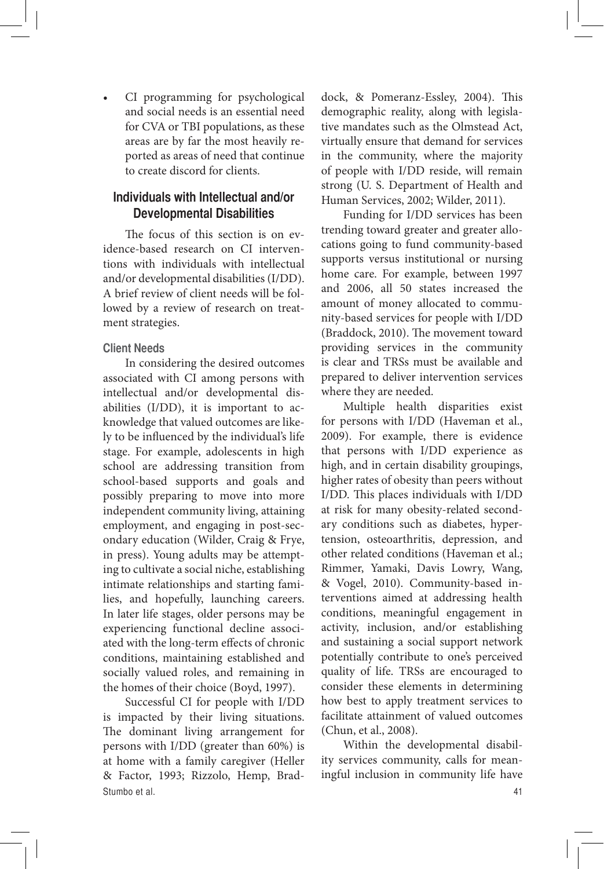• CI programming for psychological and social needs is an essential need for CVA or TBI populations, as these areas are by far the most heavily reported as areas of need that continue to create discord for clients.

# **Individuals with Intellectual and/or Developmental Disabilities**

The focus of this section is on evidence-based research on CI interventions with individuals with intellectual and/or developmental disabilities (I/DD). A brief review of client needs will be followed by a review of research on treatment strategies.

### **Client Needs**

In considering the desired outcomes associated with CI among persons with intellectual and/or developmental disabilities (I/DD), it is important to acknowledge that valued outcomes are likely to be influenced by the individual's life stage. For example, adolescents in high school are addressing transition from school-based supports and goals and possibly preparing to move into more independent community living, attaining employment, and engaging in post-secondary education (Wilder, Craig & Frye, in press). Young adults may be attempting to cultivate a social niche, establishing intimate relationships and starting families, and hopefully, launching careers. In later life stages, older persons may be experiencing functional decline associated with the long-term effects of chronic conditions, maintaining established and socially valued roles, and remaining in the homes of their choice (Boyd, 1997).

Stumbo et al. 41 Successful CI for people with I/DD is impacted by their living situations. The dominant living arrangement for persons with I/DD (greater than 60%) is at home with a family caregiver (Heller & Factor, 1993; Rizzolo, Hemp, Brad-

dock, & Pomeranz-Essley, 2004). This demographic reality, along with legislative mandates such as the Olmstead Act, virtually ensure that demand for services in the community, where the majority of people with I/DD reside, will remain strong (U. S. Department of Health and Human Services, 2002; Wilder, 2011).

Funding for I/DD services has been trending toward greater and greater allocations going to fund community-based supports versus institutional or nursing home care. For example, between 1997 and 2006, all 50 states increased the amount of money allocated to community-based services for people with I/DD (Braddock, 2010). The movement toward providing services in the community is clear and TRSs must be available and prepared to deliver intervention services where they are needed.

Multiple health disparities exist for persons with I/DD (Haveman et al., 2009). For example, there is evidence that persons with I/DD experience as high, and in certain disability groupings, higher rates of obesity than peers without I/DD. This places individuals with I/DD at risk for many obesity-related secondary conditions such as diabetes, hypertension, osteoarthritis, depression, and other related conditions (Haveman et al.; Rimmer, Yamaki, Davis Lowry, Wang, & Vogel, 2010). Community-based interventions aimed at addressing health conditions, meaningful engagement in activity, inclusion, and/or establishing and sustaining a social support network potentially contribute to one's perceived quality of life. TRSs are encouraged to consider these elements in determining how best to apply treatment services to facilitate attainment of valued outcomes (Chun, et al., 2008).

Within the developmental disability services community, calls for meaningful inclusion in community life have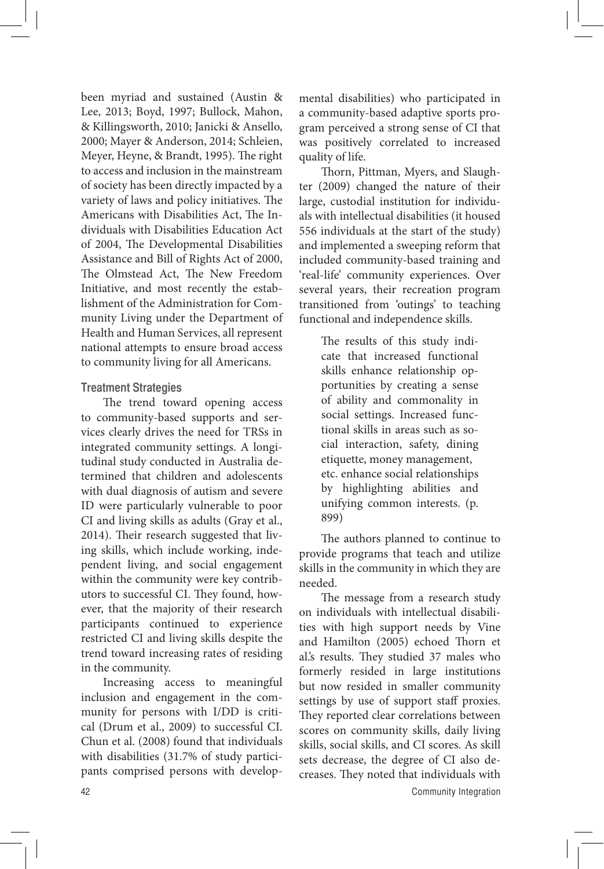been myriad and sustained (Austin & Lee, 2013; Boyd, 1997; Bullock, Mahon, & Killingsworth, 2010; Janicki & Ansello, 2000; Mayer & Anderson, 2014; Schleien, Meyer, Heyne, & Brandt, 1995). The right to access and inclusion in the mainstream of society has been directly impacted by a variety of laws and policy initiatives. The Americans with Disabilities Act, The Individuals with Disabilities Education Act of 2004, The Developmental Disabilities Assistance and Bill of Rights Act of 2000, The Olmstead Act, The New Freedom Initiative, and most recently the establishment of the Administration for Community Living under the Department of Health and Human Services, all represent national attempts to ensure broad access to community living for all Americans.

### **Treatment Strategies**

The trend toward opening access to community-based supports and services clearly drives the need for TRSs in integrated community settings. A longitudinal study conducted in Australia determined that children and adolescents with dual diagnosis of autism and severe ID were particularly vulnerable to poor CI and living skills as adults (Gray et al., 2014). Their research suggested that living skills, which include working, independent living, and social engagement within the community were key contributors to successful CI. They found, however, that the majority of their research participants continued to experience restricted CI and living skills despite the trend toward increasing rates of residing in the community.

Increasing access to meaningful inclusion and engagement in the community for persons with I/DD is critical (Drum et al., 2009) to successful CI. Chun et al. (2008) found that individuals with disabilities (31.7% of study participants comprised persons with developmental disabilities) who participated in a community-based adaptive sports program perceived a strong sense of CI that was positively correlated to increased quality of life.

Thorn, Pittman, Myers, and Slaughter (2009) changed the nature of their large, custodial institution for individuals with intellectual disabilities (it housed 556 individuals at the start of the study) and implemented a sweeping reform that included community-based training and 'real-life' community experiences. Over several years, their recreation program transitioned from 'outings' to teaching functional and independence skills.

> The results of this study indicate that increased functional skills enhance relationship opportunities by creating a sense of ability and commonality in social settings. Increased functional skills in areas such as social interaction, safety, dining etiquette, money management, etc. enhance social relationships by highlighting abilities and unifying common interests. (p. 899)

The authors planned to continue to provide programs that teach and utilize skills in the community in which they are needed.

The message from a research study on individuals with intellectual disabilities with high support needs by Vine and Hamilton (2005) echoed Thorn et al.'s results. They studied 37 males who formerly resided in large institutions but now resided in smaller community settings by use of support staff proxies. They reported clear correlations between scores on community skills, daily living skills, social skills, and CI scores. As skill sets decrease, the degree of CI also decreases. They noted that individuals with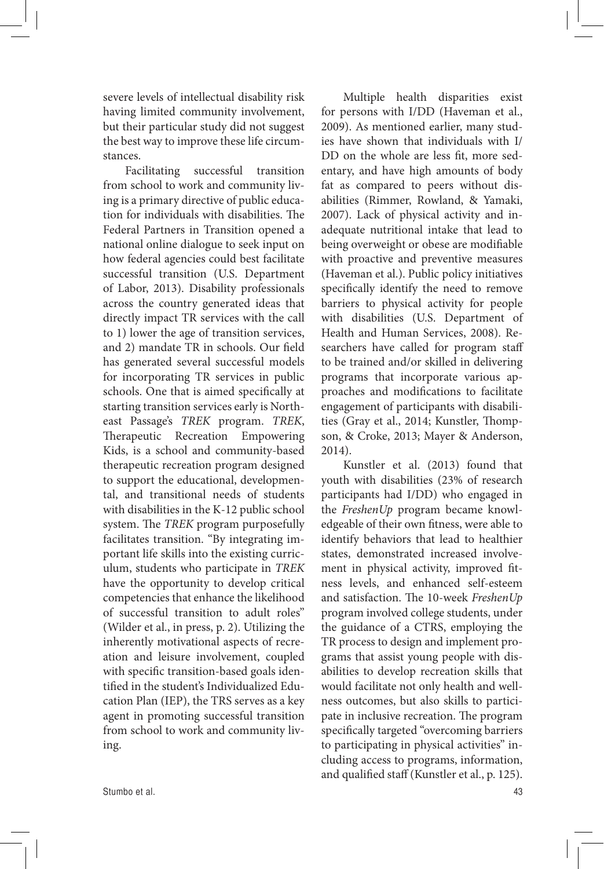severe levels of intellectual disability risk having limited community involvement, but their particular study did not suggest the best way to improve these life circumstances.

Facilitating successful transition from school to work and community living is a primary directive of public education for individuals with disabilities. The Federal Partners in Transition opened a national online dialogue to seek input on how federal agencies could best facilitate successful transition (U.S. Department of Labor, 2013). Disability professionals across the country generated ideas that directly impact TR services with the call to 1) lower the age of transition services, and 2) mandate TR in schools. Our field has generated several successful models for incorporating TR services in public schools. One that is aimed specifically at starting transition services early is Northeast Passage's *TREK* program. *TREK*, Therapeutic Recreation Empowering Kids, is a school and community-based therapeutic recreation program designed to support the educational, developmental, and transitional needs of students with disabilities in the K-12 public school system. The *TREK* program purposefully facilitates transition. "By integrating important life skills into the existing curriculum, students who participate in *TREK* have the opportunity to develop critical competencies that enhance the likelihood of successful transition to adult roles" (Wilder et al., in press, p. 2). Utilizing the inherently motivational aspects of recreation and leisure involvement, coupled with specific transition-based goals identified in the student's Individualized Education Plan (IEP), the TRS serves as a key agent in promoting successful transition from school to work and community living.

Multiple health disparities exist for persons with I/DD (Haveman et al., 2009). As mentioned earlier, many studies have shown that individuals with I/ DD on the whole are less fit, more sedentary, and have high amounts of body fat as compared to peers without disabilities (Rimmer, Rowland, & Yamaki, 2007). Lack of physical activity and inadequate nutritional intake that lead to being overweight or obese are modifiable with proactive and preventive measures (Haveman et al.). Public policy initiatives specifically identify the need to remove barriers to physical activity for people with disabilities (U.S. Department of Health and Human Services, 2008). Researchers have called for program staff to be trained and/or skilled in delivering programs that incorporate various approaches and modifications to facilitate engagement of participants with disabilities (Gray et al., 2014; Kunstler, Thompson, & Croke, 2013; Mayer & Anderson, 2014).

Kunstler et al. (2013) found that youth with disabilities (23% of research participants had I/DD) who engaged in the *FreshenUp* program became knowledgeable of their own fitness, were able to identify behaviors that lead to healthier states, demonstrated increased involvement in physical activity, improved fitness levels, and enhanced self-esteem and satisfaction. The 10-week *FreshenUp*  program involved college students, under the guidance of a CTRS, employing the TR process to design and implement programs that assist young people with disabilities to develop recreation skills that would facilitate not only health and wellness outcomes, but also skills to participate in inclusive recreation. The program specifically targeted "overcoming barriers to participating in physical activities" including access to programs, information, and qualified staff (Kunstler et al., p. 125).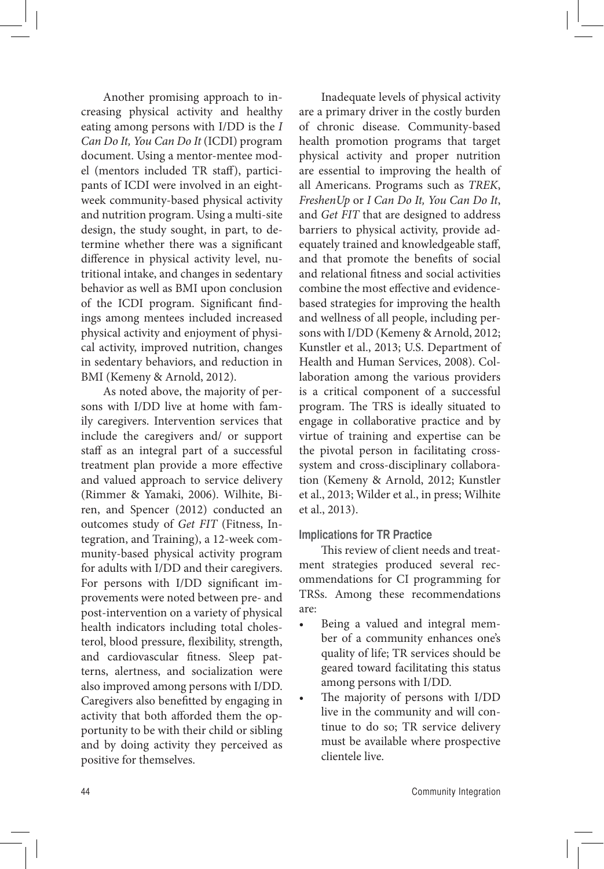Another promising approach to increasing physical activity and healthy eating among persons with I/DD is the *I Can Do It, You Can Do It* (ICDI) program document. Using a mentor-mentee model (mentors included TR staff), participants of ICDI were involved in an eightweek community-based physical activity and nutrition program. Using a multi-site design, the study sought, in part, to determine whether there was a significant difference in physical activity level, nutritional intake, and changes in sedentary behavior as well as BMI upon conclusion of the ICDI program. Significant findings among mentees included increased physical activity and enjoyment of physical activity, improved nutrition, changes in sedentary behaviors, and reduction in BMI (Kemeny & Arnold, 2012).

As noted above, the majority of persons with I/DD live at home with family caregivers. Intervention services that include the caregivers and/ or support staff as an integral part of a successful treatment plan provide a more effective and valued approach to service delivery (Rimmer & Yamaki, 2006). Wilhite, Biren, and Spencer (2012) conducted an outcomes study of *Get FIT* (Fitness, Integration, and Training), a 12-week community-based physical activity program for adults with I/DD and their caregivers. For persons with I/DD significant improvements were noted between pre- and post-intervention on a variety of physical health indicators including total cholesterol, blood pressure, flexibility, strength, and cardiovascular fitness. Sleep patterns, alertness, and socialization were also improved among persons with I/DD. Caregivers also benefitted by engaging in activity that both afforded them the opportunity to be with their child or sibling and by doing activity they perceived as positive for themselves.

Inadequate levels of physical activity are a primary driver in the costly burden of chronic disease. Community-based health promotion programs that target physical activity and proper nutrition are essential to improving the health of all Americans. Programs such as *TREK*, *FreshenUp* or *I Can Do It, You Can Do It*, and *Get FIT* that are designed to address barriers to physical activity, provide adequately trained and knowledgeable staff, and that promote the benefits of social and relational fitness and social activities combine the most effective and evidencebased strategies for improving the health and wellness of all people, including persons with I/DD (Kemeny & Arnold, 2012; Kunstler et al., 2013; U.S. Department of Health and Human Services, 2008). Collaboration among the various providers is a critical component of a successful program. The TRS is ideally situated to engage in collaborative practice and by virtue of training and expertise can be the pivotal person in facilitating crosssystem and cross-disciplinary collaboration (Kemeny & Arnold, 2012; Kunstler et al., 2013; Wilder et al., in press; Wilhite et al., 2013).

#### **Implications for TR Practice**

This review of client needs and treatment strategies produced several recommendations for CI programming for TRSs. Among these recommendations are:

- Being a valued and integral member of a community enhances one's quality of life; TR services should be geared toward facilitating this status among persons with I/DD.
- The majority of persons with I/DD live in the community and will continue to do so; TR service delivery must be available where prospective clientele live.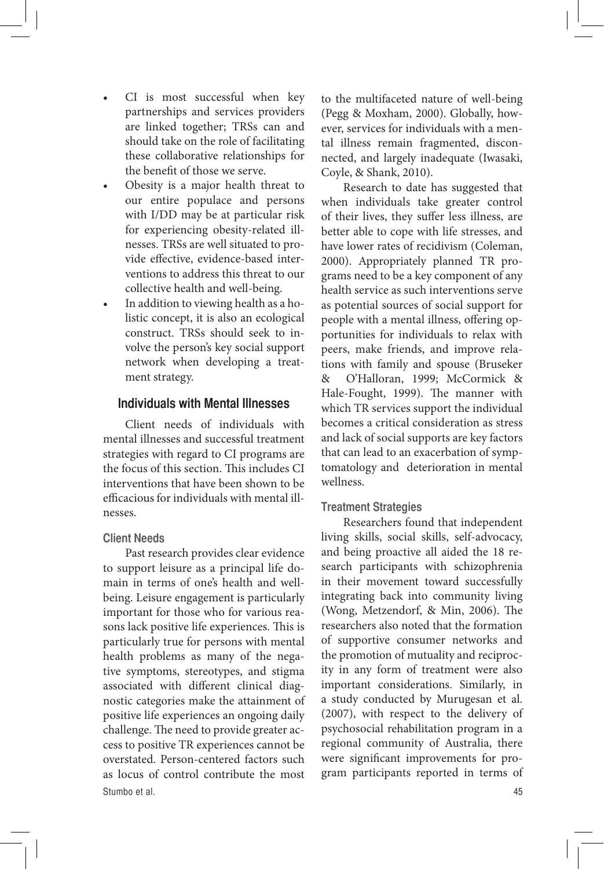- CI is most successful when key partnerships and services providers are linked together; TRSs can and should take on the role of facilitating these collaborative relationships for the benefit of those we serve.
- Obesity is a major health threat to our entire populace and persons with I/DD may be at particular risk for experiencing obesity-related illnesses. TRSs are well situated to provide effective, evidence-based interventions to address this threat to our collective health and well-being.
- In addition to viewing health as a holistic concept, it is also an ecological construct. TRSs should seek to involve the person's key social support network when developing a treatment strategy.

### **Individuals with Mental Illnesses**

Client needs of individuals with mental illnesses and successful treatment strategies with regard to CI programs are the focus of this section. This includes CI interventions that have been shown to be efficacious for individuals with mental illnesses.

### **Client Needs**

Stumbo et al. 45 Past research provides clear evidence to support leisure as a principal life domain in terms of one's health and wellbeing. Leisure engagement is particularly important for those who for various reasons lack positive life experiences. This is particularly true for persons with mental health problems as many of the negative symptoms, stereotypes, and stigma associated with different clinical diagnostic categories make the attainment of positive life experiences an ongoing daily challenge. The need to provide greater access to positive TR experiences cannot be overstated. Person-centered factors such as locus of control contribute the most

to the multifaceted nature of well-being (Pegg & Moxham, 2000). Globally, however, services for individuals with a mental illness remain fragmented, disconnected, and largely inadequate (Iwasaki, Coyle, & Shank, 2010).

Research to date has suggested that when individuals take greater control of their lives, they suffer less illness, are better able to cope with life stresses, and have lower rates of recidivism (Coleman, 2000). Appropriately planned TR programs need to be a key component of any health service as such interventions serve as potential sources of social support for people with a mental illness, offering opportunities for individuals to relax with peers, make friends, and improve relations with family and spouse (Bruseker & O'Halloran, 1999; McCormick & Hale-Fought, 1999). The manner with which TR services support the individual becomes a critical consideration as stress and lack of social supports are key factors that can lead to an exacerbation of symptomatology and deterioration in mental wellness.

# **Treatment Strategies**

Researchers found that independent living skills, social skills, self-advocacy, and being proactive all aided the 18 research participants with schizophrenia in their movement toward successfully integrating back into community living (Wong, Metzendorf, & Min, 2006). The researchers also noted that the formation of supportive consumer networks and the promotion of mutuality and reciprocity in any form of treatment were also important considerations. Similarly, in a study conducted by Murugesan et al. (2007), with respect to the delivery of psychosocial rehabilitation program in a regional community of Australia, there were significant improvements for program participants reported in terms of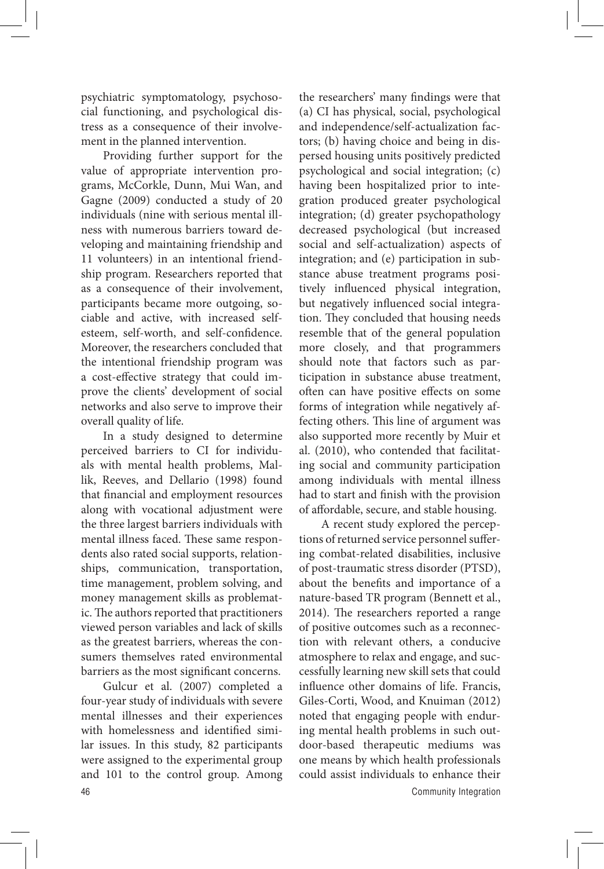psychiatric symptomatology, psychosocial functioning, and psychological distress as a consequence of their involvement in the planned intervention.

Providing further support for the value of appropriate intervention programs, McCorkle, Dunn, Mui Wan, and Gagne (2009) conducted a study of 20 individuals (nine with serious mental illness with numerous barriers toward developing and maintaining friendship and 11 volunteers) in an intentional friendship program. Researchers reported that as a consequence of their involvement, participants became more outgoing, sociable and active, with increased selfesteem, self-worth, and self-confidence. Moreover, the researchers concluded that the intentional friendship program was a cost-effective strategy that could improve the clients' development of social networks and also serve to improve their overall quality of life.

In a study designed to determine perceived barriers to CI for individuals with mental health problems, Mallik, Reeves, and Dellario (1998) found that financial and employment resources along with vocational adjustment were the three largest barriers individuals with mental illness faced. These same respondents also rated social supports, relationships, communication, transportation, time management, problem solving, and money management skills as problematic. The authors reported that practitioners viewed person variables and lack of skills as the greatest barriers, whereas the consumers themselves rated environmental barriers as the most significant concerns.

46 Community Integration Gulcur et al. (2007) completed a four-year study of individuals with severe mental illnesses and their experiences with homelessness and identified similar issues. In this study, 82 participants were assigned to the experimental group and 101 to the control group. Among

the researchers' many findings were that (a) CI has physical, social, psychological and independence/self-actualization factors; (b) having choice and being in dispersed housing units positively predicted psychological and social integration; (c) having been hospitalized prior to integration produced greater psychological integration; (d) greater psychopathology decreased psychological (but increased social and self-actualization) aspects of integration; and (e) participation in substance abuse treatment programs positively influenced physical integration, but negatively influenced social integration. They concluded that housing needs resemble that of the general population more closely, and that programmers should note that factors such as participation in substance abuse treatment, often can have positive effects on some forms of integration while negatively affecting others. This line of argument was also supported more recently by Muir et al. (2010), who contended that facilitating social and community participation among individuals with mental illness had to start and finish with the provision of affordable, secure, and stable housing.

A recent study explored the perceptions of returned service personnel suffering combat-related disabilities, inclusive of post-traumatic stress disorder (PTSD), about the benefits and importance of a nature-based TR program (Bennett et al., 2014). The researchers reported a range of positive outcomes such as a reconnection with relevant others, a conducive atmosphere to relax and engage, and successfully learning new skill sets that could influence other domains of life. Francis, Giles-Corti, Wood, and Knuiman (2012) noted that engaging people with enduring mental health problems in such outdoor-based therapeutic mediums was one means by which health professionals could assist individuals to enhance their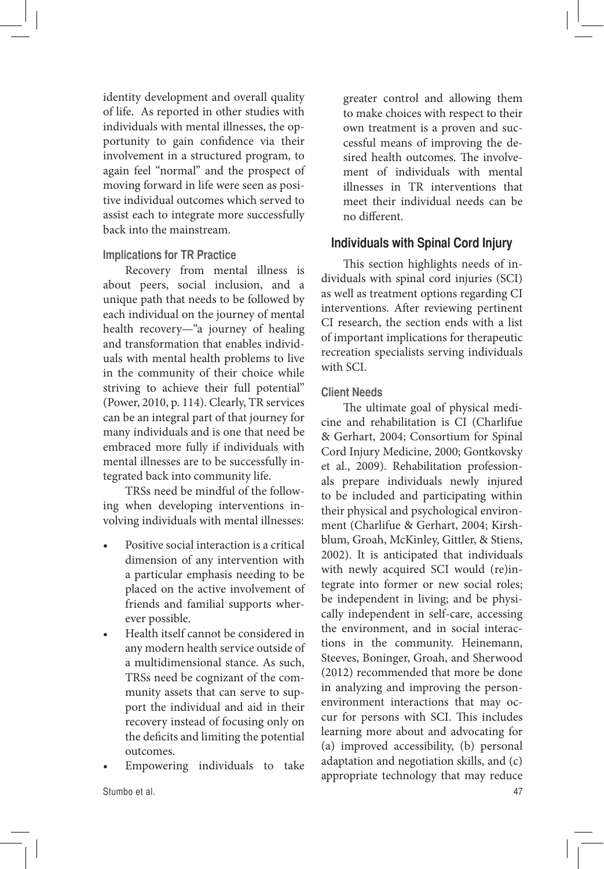identity development and overall quality of life. As reported in other studies with individuals with mental illnesses, the opportunity to gain confidence via their involvement in a structured program, to again feel "normal" and the prospect of moving forward in life were seen as positive individual outcomes which served to assist each to integrate more successfully back into the mainstream.

### **Implications for TR Practice**

Recovery from mental illness is about peers, social inclusion, and a unique path that needs to be followed by each individual on the journey of mental health recovery—"a journey of healing and transformation that enables individuals with mental health problems to live in the community of their choice while striving to achieve their full potential" (Power, 2010, p. 114). Clearly, TR services can be an integral part of that journey for many individuals and is one that need be embraced more fully if individuals with mental illnesses are to be successfully integrated back into community life.

TRSs need be mindful of the following when developing interventions involving individuals with mental illnesses:

- Positive social interaction is a critical dimension of any intervention with a particular emphasis needing to be placed on the active involvement of friends and familial supports wherever possible.
- Health itself cannot be considered in any modern health service outside of a multidimensional stance. As such, TRSs need be cognizant of the community assets that can serve to support the individual and aid in their recovery instead of focusing only on the deficits and limiting the potential outcomes.
- Empowering individuals to take

greater control and allowing them to make choices with respect to their own treatment is a proven and successful means of improving the desired health outcomes. The involvement of individuals with mental illnesses in TR interventions that meet their individual needs can be no different.

# **Individuals with Spinal Cord Injury**

This section highlights needs of individuals with spinal cord injuries (SCI) as well as treatment options regarding CI interventions. After reviewing pertinent CI research, the section ends with a list of important implications for therapeutic recreation specialists serving individuals with SCI.

### **Client Needs**

The ultimate goal of physical medicine and rehabilitation is CI (Charlifue & Gerhart, 2004; Consortium for Spinal Cord Injury Medicine, 2000; Gontkovsky et al., 2009). Rehabilitation professionals prepare individuals newly injured to be included and participating within their physical and psychological environment (Charlifue & Gerhart, 2004; Kirshblum, Groah, McKinley, Gittler, & Stiens, 2002). It is anticipated that individuals with newly acquired SCI would (re)integrate into former or new social roles; be independent in living; and be physically independent in self-care, accessing the environment, and in social interactions in the community. Heinemann, Steeves, Boninger, Groah, and Sherwood (2012) recommended that more be done in analyzing and improving the personenvironment interactions that may occur for persons with SCI. This includes learning more about and advocating for (a) improved accessibility, (b) personal adaptation and negotiation skills, and (c) appropriate technology that may reduce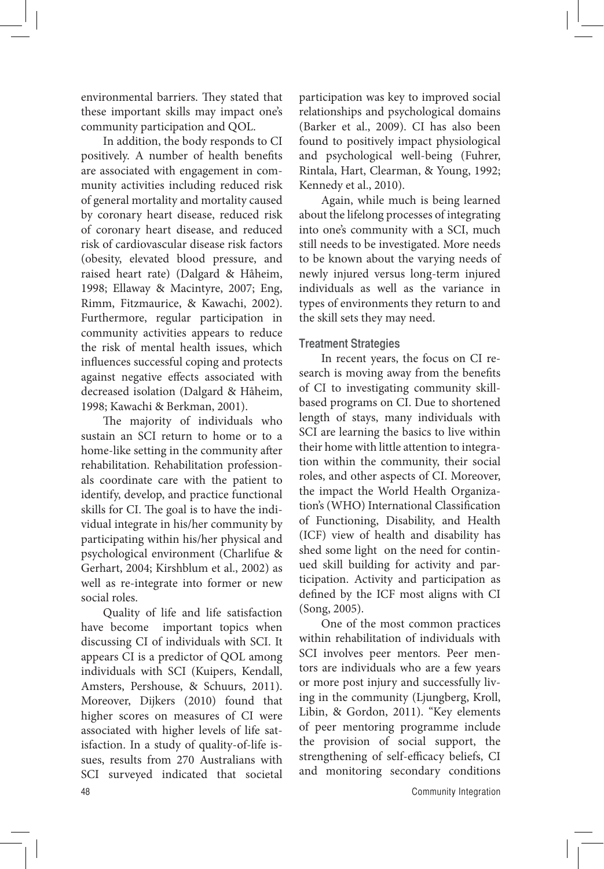environmental barriers. They stated that these important skills may impact one's community participation and QOL.

In addition, the body responds to CI positively. A number of health benefits are associated with engagement in community activities including reduced risk of general mortality and mortality caused by coronary heart disease, reduced risk of coronary heart disease, and reduced risk of cardiovascular disease risk factors (obesity, elevated blood pressure, and raised heart rate) (Dalgard & Håheim, 1998; Ellaway & Macintyre, 2007; Eng, Rimm, Fitzmaurice, & Kawachi, 2002). Furthermore, regular participation in community activities appears to reduce the risk of mental health issues, which influences successful coping and protects against negative effects associated with decreased isolation (Dalgard & Håheim, 1998; Kawachi & Berkman, 2001).

The majority of individuals who sustain an SCI return to home or to a home-like setting in the community after rehabilitation. Rehabilitation professionals coordinate care with the patient to identify, develop, and practice functional skills for CI. The goal is to have the individual integrate in his/her community by participating within his/her physical and psychological environment (Charlifue & Gerhart, 2004; Kirshblum et al., 2002) as well as re-integrate into former or new social roles.

Quality of life and life satisfaction have become important topics when discussing CI of individuals with SCI. It appears CI is a predictor of QOL among individuals with SCI (Kuipers, Kendall, Amsters, Pershouse, & Schuurs, 2011). Moreover, Dijkers (2010) found that higher scores on measures of CI were associated with higher levels of life satisfaction. In a study of quality-of-life issues, results from 270 Australians with SCI surveyed indicated that societal participation was key to improved social relationships and psychological domains (Barker et al., 2009). CI has also been found to positively impact physiological and psychological well-being (Fuhrer, Rintala, Hart, Clearman, & Young, 1992; Kennedy et al., 2010).

Again, while much is being learned about the lifelong processes of integrating into one's community with a SCI, much still needs to be investigated. More needs to be known about the varying needs of newly injured versus long-term injured individuals as well as the variance in types of environments they return to and the skill sets they may need.

### **Treatment Strategies**

In recent years, the focus on CI research is moving away from the benefits of CI to investigating community skillbased programs on CI. Due to shortened length of stays, many individuals with SCI are learning the basics to live within their home with little attention to integration within the community, their social roles, and other aspects of CI. Moreover, the impact the World Health Organization's (WHO) International Classification of Functioning, Disability, and Health (ICF) view of health and disability has shed some light on the need for continued skill building for activity and participation. Activity and participation as defined by the ICF most aligns with CI (Song, 2005).

One of the most common practices within rehabilitation of individuals with SCI involves peer mentors. Peer mentors are individuals who are a few years or more post injury and successfully living in the community (Ljungberg, Kroll, Libin, & Gordon, 2011). "Key elements of peer mentoring programme include the provision of social support, the strengthening of self-efficacy beliefs, CI and monitoring secondary conditions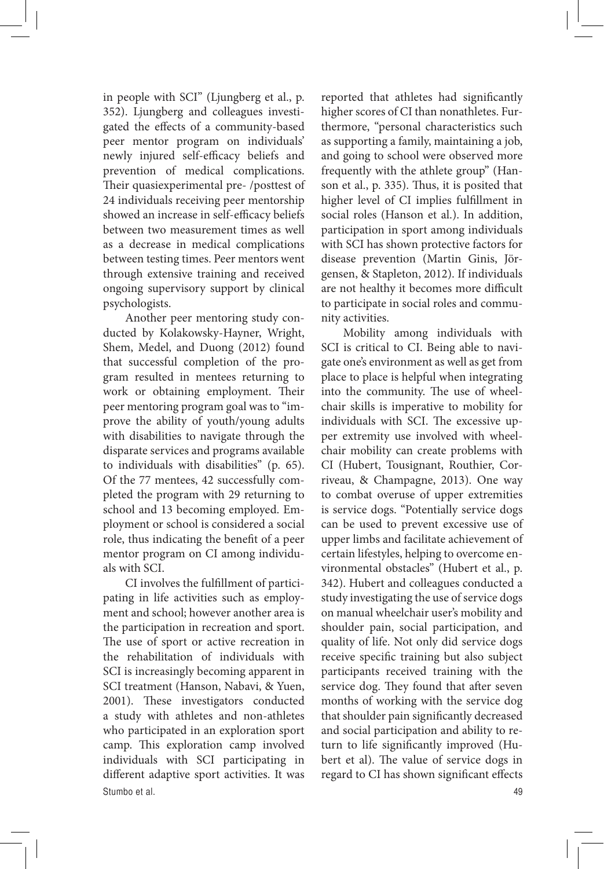in people with SCI" (Ljungberg et al., p. 352). Ljungberg and colleagues investigated the effects of a community-based peer mentor program on individuals' newly injured self-efficacy beliefs and prevention of medical complications. Their quasiexperimental pre- /posttest of 24 individuals receiving peer mentorship showed an increase in self-efficacy beliefs between two measurement times as well as a decrease in medical complications between testing times. Peer mentors went through extensive training and received ongoing supervisory support by clinical psychologists.

Another peer mentoring study conducted by Kolakowsky-Hayner, Wright, Shem, Medel, and Duong (2012) found that successful completion of the program resulted in mentees returning to work or obtaining employment. Their peer mentoring program goal was to "improve the ability of youth/young adults with disabilities to navigate through the disparate services and programs available to individuals with disabilities" (p. 65). Of the 77 mentees, 42 successfully completed the program with 29 returning to school and 13 becoming employed. Employment or school is considered a social role, thus indicating the benefit of a peer mentor program on CI among individuals with SCI.

Stumbo et al. 49 CI involves the fulfillment of participating in life activities such as employment and school; however another area is the participation in recreation and sport. The use of sport or active recreation in the rehabilitation of individuals with SCI is increasingly becoming apparent in SCI treatment (Hanson, Nabavi, & Yuen, 2001). These investigators conducted a study with athletes and non-athletes who participated in an exploration sport camp. This exploration camp involved individuals with SCI participating in different adaptive sport activities. It was

reported that athletes had significantly higher scores of CI than nonathletes. Furthermore, "personal characteristics such as supporting a family, maintaining a job, and going to school were observed more frequently with the athlete group" (Hanson et al., p. 335). Thus, it is posited that higher level of CI implies fulfillment in social roles (Hanson et al.). In addition, participation in sport among individuals with SCI has shown protective factors for disease prevention (Martin Ginis, Jörgensen, & Stapleton, 2012). If individuals are not healthy it becomes more difficult to participate in social roles and community activities.

Mobility among individuals with SCI is critical to CI. Being able to navigate one's environment as well as get from place to place is helpful when integrating into the community. The use of wheelchair skills is imperative to mobility for individuals with SCI. The excessive upper extremity use involved with wheelchair mobility can create problems with CI (Hubert, Tousignant, Routhier, Corriveau, & Champagne, 2013). One way to combat overuse of upper extremities is service dogs. "Potentially service dogs can be used to prevent excessive use of upper limbs and facilitate achievement of certain lifestyles, helping to overcome environmental obstacles" (Hubert et al., p. 342). Hubert and colleagues conducted a study investigating the use of service dogs on manual wheelchair user's mobility and shoulder pain, social participation, and quality of life. Not only did service dogs receive specific training but also subject participants received training with the service dog. They found that after seven months of working with the service dog that shoulder pain significantly decreased and social participation and ability to return to life significantly improved (Hubert et al). The value of service dogs in regard to CI has shown significant effects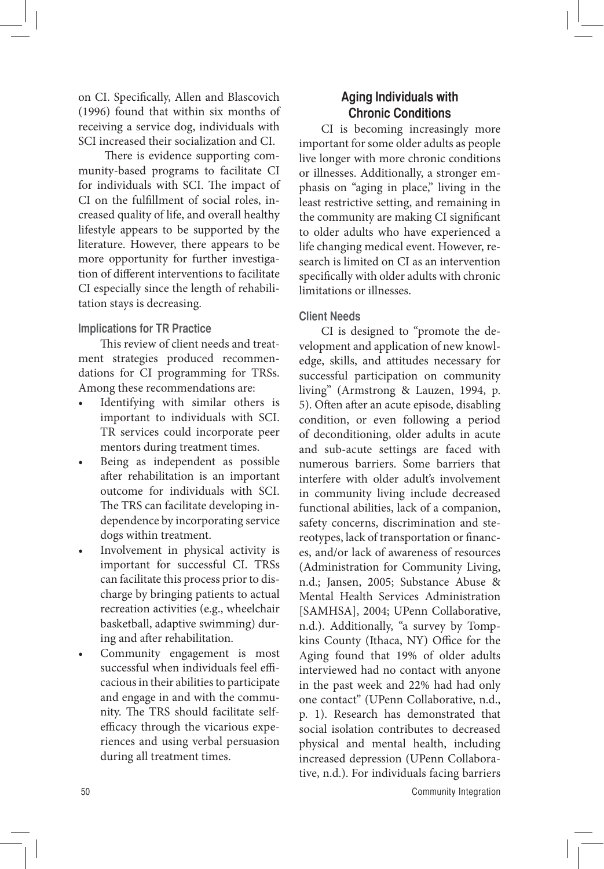on CI. Specifically, Allen and Blascovich (1996) found that within six months of receiving a service dog, individuals with SCI increased their socialization and CI.

 There is evidence supporting community-based programs to facilitate CI for individuals with SCI. The impact of CI on the fulfillment of social roles, increased quality of life, and overall healthy lifestyle appears to be supported by the literature. However, there appears to be more opportunity for further investigation of different interventions to facilitate CI especially since the length of rehabilitation stays is decreasing.

### **Implications for TR Practice**

This review of client needs and treatment strategies produced recommendations for CI programming for TRSs. Among these recommendations are:

- Identifying with similar others is important to individuals with SCI. TR services could incorporate peer mentors during treatment times.
- Being as independent as possible after rehabilitation is an important outcome for individuals with SCI. The TRS can facilitate developing independence by incorporating service dogs within treatment.
- Involvement in physical activity is important for successful CI. TRSs can facilitate this process prior to discharge by bringing patients to actual recreation activities (e.g., wheelchair basketball, adaptive swimming) during and after rehabilitation.
- Community engagement is most successful when individuals feel efficacious in their abilities to participate and engage in and with the community. The TRS should facilitate selfefficacy through the vicarious experiences and using verbal persuasion during all treatment times.

# **Aging Individuals with Chronic Conditions**

CI is becoming increasingly more important for some older adults as people live longer with more chronic conditions or illnesses. Additionally, a stronger emphasis on "aging in place," living in the least restrictive setting, and remaining in the community are making CI significant to older adults who have experienced a life changing medical event. However, research is limited on CI as an intervention specifically with older adults with chronic limitations or illnesses.

# **Client Needs**

CI is designed to "promote the development and application of new knowledge, skills, and attitudes necessary for successful participation on community living" (Armstrong & Lauzen, 1994, p. 5). Often after an acute episode, disabling condition, or even following a period of deconditioning, older adults in acute and sub-acute settings are faced with numerous barriers. Some barriers that interfere with older adult's involvement in community living include decreased functional abilities, lack of a companion, safety concerns, discrimination and stereotypes, lack of transportation or finances, and/or lack of awareness of resources (Administration for Community Living, n.d.; Jansen, 2005; Substance Abuse & Mental Health Services Administration [SAMHSA], 2004; UPenn Collaborative, n.d.). Additionally, "a survey by Tompkins County (Ithaca, NY) Office for the Aging found that 19% of older adults interviewed had no contact with anyone in the past week and 22% had had only one contact" (UPenn Collaborative, n.d., p. 1). Research has demonstrated that social isolation contributes to decreased physical and mental health, including increased depression (UPenn Collaborative, n.d.). For individuals facing barriers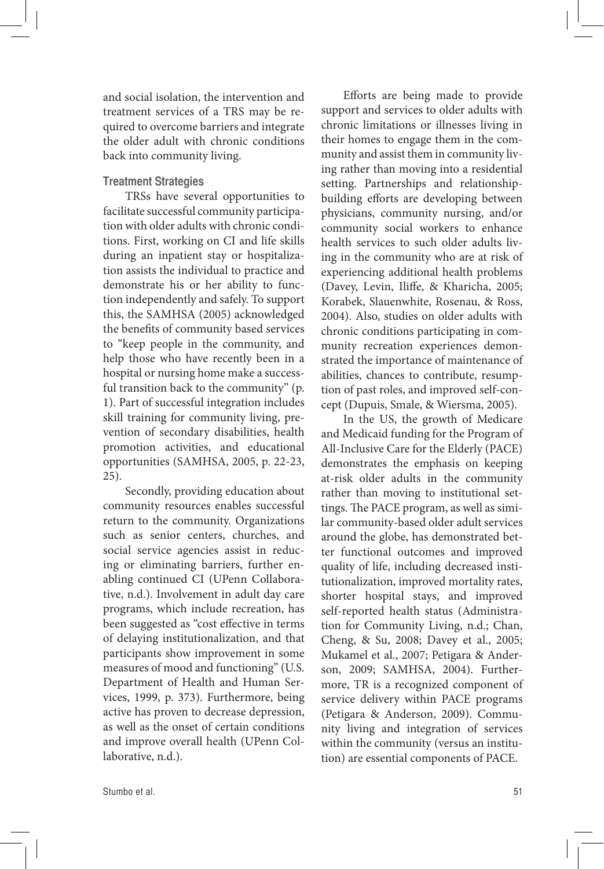and social isolation, the intervention and treatment services of a TRS may be required to overcome barriers and integrate the older adult with chronic conditions back into community living.

# **Treatment Strategies**

TRSs have several opportunities to facilitate successful community participation with older adults with chronic conditions. First, working on CI and life skills during an inpatient stay or hospitalization assists the individual to practice and demonstrate his or her ability to function independently and safely. To support this, the SAMHSA (2005) acknowledged the benefits of community based services to "keep people in the community, and help those who have recently been in a hospital or nursing home make a successful transition back to the community" (p. 1). Part of successful integration includes skill training for community living, prevention of secondary disabilities, health promotion activities, and educational opportunities (SAMHSA, 2005, p. 22-23, 25).

Secondly, providing education about community resources enables successful return to the community. Organizations such as senior centers, churches, and social service agencies assist in reducing or eliminating barriers, further enabling continued CI (UPenn Collaborative, n.d.). Involvement in adult day care programs, which include recreation, has been suggested as "cost effective in terms of delaying institutionalization, and that participants show improvement in some measures of mood and functioning" (U.S. Department of Health and Human Services, 1999, p. 373). Furthermore, being active has proven to decrease depression, as well as the onset of certain conditions and improve overall health (UPenn Collaborative, n.d.).

Efforts are being made to provide support and services to older adults with chronic limitations or illnesses living in their homes to engage them in the community and assist them in community living rather than moving into a residential setting. Partnerships and relationshipbuilding efforts are developing between physicians, community nursing, and/or community social workers to enhance health services to such older adults living in the community who are at risk of experiencing additional health problems (Davey, Levin, Iliffe, & Kharicha, 2005; Korabek, Slauenwhite, Rosenau, & Ross, 2004). Also, studies on older adults with chronic conditions participating in community recreation experiences demonstrated the importance of maintenance of abilities, chances to contribute, resumption of past roles, and improved self-concept (Dupuis, Smale, & Wiersma, 2005).

In the US, the growth of Medicare and Medicaid funding for the Program of All-Inclusive Care for the Elderly (PACE) demonstrates the emphasis on keeping at-risk older adults in the community rather than moving to institutional settings. The PACE program, as well as similar community-based older adult services around the globe, has demonstrated better functional outcomes and improved quality of life, including decreased institutionalization, improved mortality rates, shorter hospital stays, and improved self-reported health status (Administration for Community Living, n.d.; Chan, Cheng, & Su, 2008; Davey et al., 2005; Mukamel et al., 2007; Petigara & Anderson, 2009; SAMHSA, 2004). Furthermore, TR is a recognized component of service delivery within PACE programs (Petigara & Anderson, 2009). Community living and integration of services within the community (versus an institution) are essential components of PACE.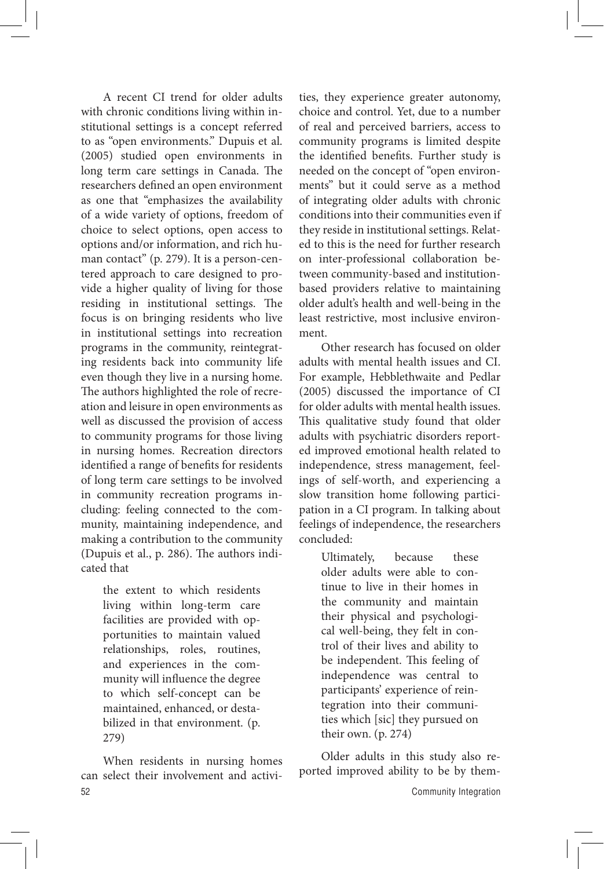A recent CI trend for older adults with chronic conditions living within institutional settings is a concept referred to as "open environments." Dupuis et al. (2005) studied open environments in long term care settings in Canada. The researchers defined an open environment as one that "emphasizes the availability of a wide variety of options, freedom of choice to select options, open access to options and/or information, and rich human contact" (p. 279). It is a person-centered approach to care designed to provide a higher quality of living for those residing in institutional settings. The focus is on bringing residents who live in institutional settings into recreation programs in the community, reintegrating residents back into community life even though they live in a nursing home. The authors highlighted the role of recreation and leisure in open environments as well as discussed the provision of access to community programs for those living in nursing homes. Recreation directors identified a range of benefits for residents of long term care settings to be involved in community recreation programs including: feeling connected to the community, maintaining independence, and making a contribution to the community (Dupuis et al., p. 286). The authors indicated that

> the extent to which residents living within long-term care facilities are provided with opportunities to maintain valued relationships, roles, routines, and experiences in the community will influence the degree to which self-concept can be maintained, enhanced, or destabilized in that environment. (p. 279)

When residents in nursing homes can select their involvement and activities, they experience greater autonomy, choice and control. Yet, due to a number of real and perceived barriers, access to community programs is limited despite the identified benefits. Further study is needed on the concept of "open environments" but it could serve as a method of integrating older adults with chronic conditions into their communities even if they reside in institutional settings. Related to this is the need for further research on inter-professional collaboration between community-based and institutionbased providers relative to maintaining older adult's health and well-being in the least restrictive, most inclusive environment.

Other research has focused on older adults with mental health issues and CI. For example, Hebblethwaite and Pedlar (2005) discussed the importance of CI for older adults with mental health issues. This qualitative study found that older adults with psychiatric disorders reported improved emotional health related to independence, stress management, feelings of self-worth, and experiencing a slow transition home following participation in a CI program. In talking about feelings of independence, the researchers concluded:

> Ultimately, because these older adults were able to continue to live in their homes in the community and maintain their physical and psychological well-being, they felt in control of their lives and ability to be independent. This feeling of independence was central to participants' experience of reintegration into their communities which [sic] they pursued on their own. (p. 274)

Older adults in this study also reported improved ability to be by them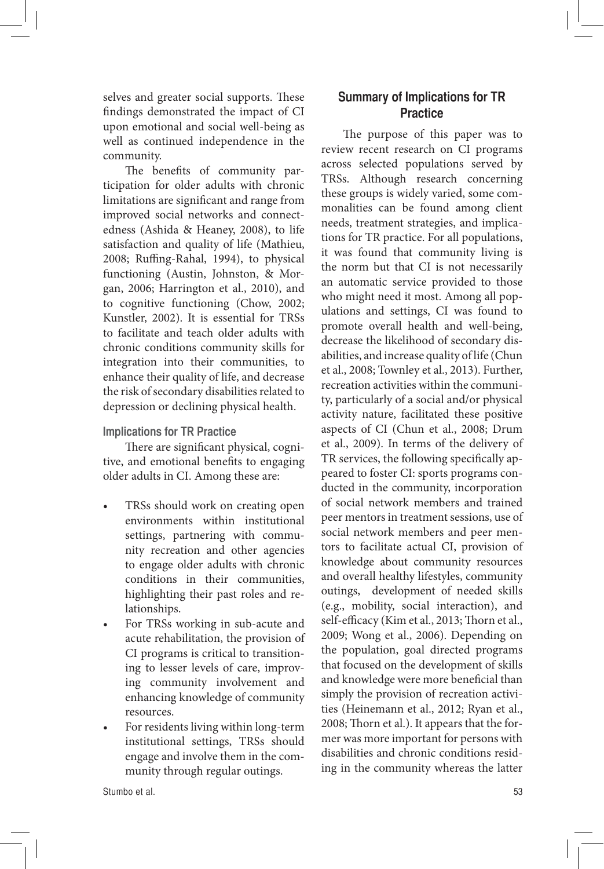selves and greater social supports. These findings demonstrated the impact of CI upon emotional and social well-being as well as continued independence in the community.

The benefits of community participation for older adults with chronic limitations are significant and range from improved social networks and connectedness (Ashida & Heaney, 2008), to life satisfaction and quality of life (Mathieu, 2008; Ruffing-Rahal, 1994), to physical functioning (Austin, Johnston, & Morgan, 2006; Harrington et al., 2010), and to cognitive functioning (Chow, 2002; Kunstler, 2002). It is essential for TRSs to facilitate and teach older adults with chronic conditions community skills for integration into their communities, to enhance their quality of life, and decrease the risk of secondary disabilities related to depression or declining physical health.

### **Implications for TR Practice**

There are significant physical, cognitive, and emotional benefits to engaging older adults in CI. Among these are:

- TRSs should work on creating open environments within institutional settings, partnering with community recreation and other agencies to engage older adults with chronic conditions in their communities, highlighting their past roles and relationships.
- For TRSs working in sub-acute and acute rehabilitation, the provision of CI programs is critical to transitioning to lesser levels of care, improving community involvement and enhancing knowledge of community resources.
- For residents living within long-term institutional settings, TRSs should engage and involve them in the community through regular outings.

# **Summary of Implications for TR Practice**

The purpose of this paper was to review recent research on CI programs across selected populations served by TRSs. Although research concerning these groups is widely varied, some commonalities can be found among client needs, treatment strategies, and implications for TR practice. For all populations, it was found that community living is the norm but that CI is not necessarily an automatic service provided to those who might need it most. Among all populations and settings, CI was found to promote overall health and well-being, decrease the likelihood of secondary disabilities, and increase quality of life (Chun et al., 2008; Townley et al., 2013). Further, recreation activities within the community, particularly of a social and/or physical activity nature, facilitated these positive aspects of CI (Chun et al., 2008; Drum et al., 2009). In terms of the delivery of TR services, the following specifically appeared to foster CI: sports programs conducted in the community, incorporation of social network members and trained peer mentors in treatment sessions, use of social network members and peer mentors to facilitate actual CI, provision of knowledge about community resources and overall healthy lifestyles, community outings, development of needed skills (e.g., mobility, social interaction), and self-efficacy (Kim et al., 2013; Thorn et al., 2009; Wong et al., 2006). Depending on the population, goal directed programs that focused on the development of skills and knowledge were more beneficial than simply the provision of recreation activities (Heinemann et al., 2012; Ryan et al., 2008; Thorn et al.). It appears that the former was more important for persons with disabilities and chronic conditions residing in the community whereas the latter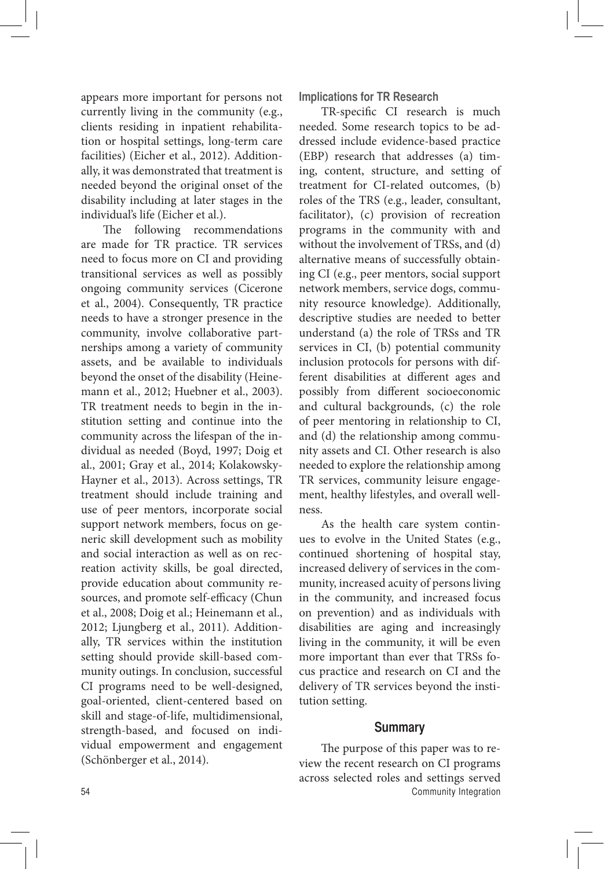appears more important for persons not currently living in the community (e.g., clients residing in inpatient rehabilitation or hospital settings, long-term care facilities) (Eicher et al., 2012). Additionally, it was demonstrated that treatment is needed beyond the original onset of the disability including at later stages in the individual's life (Eicher et al.).

The following recommendations are made for TR practice. TR services need to focus more on CI and providing transitional services as well as possibly ongoing community services (Cicerone et al., 2004). Consequently, TR practice needs to have a stronger presence in the community, involve collaborative partnerships among a variety of community assets, and be available to individuals beyond the onset of the disability (Heinemann et al., 2012; Huebner et al., 2003). TR treatment needs to begin in the institution setting and continue into the community across the lifespan of the individual as needed (Boyd, 1997; Doig et al., 2001; Gray et al., 2014; Kolakowsky-Hayner et al., 2013). Across settings, TR treatment should include training and use of peer mentors, incorporate social support network members, focus on generic skill development such as mobility and social interaction as well as on recreation activity skills, be goal directed, provide education about community resources, and promote self-efficacy (Chun et al., 2008; Doig et al.; Heinemann et al., 2012; Ljungberg et al., 2011). Additionally, TR services within the institution setting should provide skill-based community outings. In conclusion, successful CI programs need to be well-designed, goal-oriented, client-centered based on skill and stage-of-life, multidimensional, strength-based, and focused on individual empowerment and engagement (Schönberger et al., 2014).

**Implications for TR Research**

TR-specific CI research is much needed. Some research topics to be addressed include evidence-based practice (EBP) research that addresses (a) timing, content, structure, and setting of treatment for CI-related outcomes, (b) roles of the TRS (e.g., leader, consultant, facilitator), (c) provision of recreation programs in the community with and without the involvement of TRSs, and (d) alternative means of successfully obtaining CI (e.g., peer mentors, social support network members, service dogs, community resource knowledge). Additionally, descriptive studies are needed to better understand (a) the role of TRSs and TR services in CI, (b) potential community inclusion protocols for persons with different disabilities at different ages and possibly from different socioeconomic and cultural backgrounds, (c) the role of peer mentoring in relationship to CI, and (d) the relationship among community assets and CI. Other research is also needed to explore the relationship among TR services, community leisure engagement, healthy lifestyles, and overall wellness.

As the health care system continues to evolve in the United States (e.g., continued shortening of hospital stay, increased delivery of services in the community, increased acuity of persons living in the community, and increased focus on prevention) and as individuals with disabilities are aging and increasingly living in the community, it will be even more important than ever that TRSs focus practice and research on CI and the delivery of TR services beyond the institution setting.

#### **Summary**

54 Community Integration The purpose of this paper was to review the recent research on CI programs across selected roles and settings served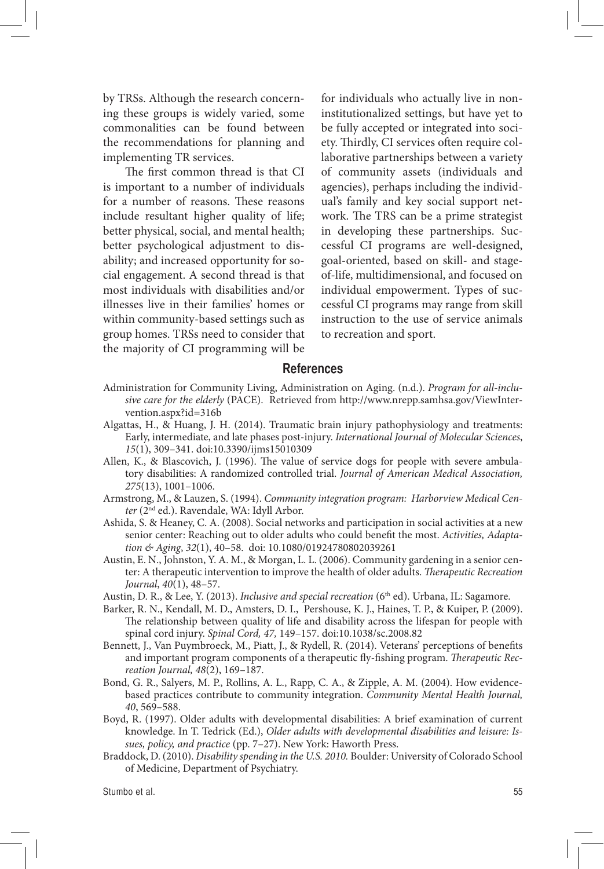by TRSs. Although the research concerning these groups is widely varied, some commonalities can be found between the recommendations for planning and implementing TR services.

The first common thread is that CI is important to a number of individuals for a number of reasons. These reasons include resultant higher quality of life; better physical, social, and mental health; better psychological adjustment to disability; and increased opportunity for social engagement. A second thread is that most individuals with disabilities and/or illnesses live in their families' homes or within community-based settings such as group homes. TRSs need to consider that the majority of CI programming will be for individuals who actually live in noninstitutionalized settings, but have yet to be fully accepted or integrated into society. Thirdly, CI services often require collaborative partnerships between a variety of community assets (individuals and agencies), perhaps including the individual's family and key social support network. The TRS can be a prime strategist in developing these partnerships. Successful CI programs are well-designed, goal-oriented, based on skill- and stageof-life, multidimensional, and focused on individual empowerment. Types of successful CI programs may range from skill instruction to the use of service animals to recreation and sport.

#### **References**

- Administration for Community Living, Administration on Aging. (n.d.). *Program for all-inclusive care for the elderly* (PACE). Retrieved from http://www.nrepp.samhsa.gov/ViewIntervention.aspx?id=316b
- Algattas, H., & Huang, J. H. (2014). Traumatic brain injury pathophysiology and treatments: Early, intermediate, and late phases post-injury. *International Journal of Molecular Sciences*, *15*(1), 309–341. doi:10.3390/ijms15010309
- Allen, K., & Blascovich, J. (1996). The value of service dogs for people with severe ambulatory disabilities: A randomized controlled trial. *Journal of American Medical Association, 275*(13), 1001–1006.
- Armstrong, M., & Lauzen, S. (1994). *Community integration program: Harborview Medical Center* (2nd ed.). Ravendale, WA: Idyll Arbor.
- Ashida, S. & Heaney, C. A. (2008). Social networks and participation in social activities at a new senior center: Reaching out to older adults who could benefit the most. *Activities, Adaptation & Aging*, *32*(1), 40–58. doi: 10.1080/01924780802039261
- Austin, E. N., Johnston, Y. A. M., & Morgan, L. L. (2006). Community gardening in a senior center: A therapeutic intervention to improve the health of older adults. *Therapeutic Recreation Journal*, *40*(1), 48–57.

Austin, D. R., & Lee, Y. (2013). *Inclusive and special recreation* (6<sup>th</sup> ed). Urbana, IL: Sagamore.

- Barker, R. N., Kendall, M. D., Amsters, D. I., Pershouse, K. J., Haines, T. P., & Kuiper, P. (2009). The relationship between quality of life and disability across the lifespan for people with spinal cord injury. *Spinal Cord, 47,* 149–157. doi:10.1038/sc.2008.82
- Bennett, J., Van Puymbroeck, M., Piatt, J., & Rydell, R. (2014). Veterans' perceptions of benefits and important program components of a therapeutic fly-fishing program. *Therapeutic Recreation Journal, 48*(2), 169–187.
- Bond, G. R., Salyers, M. P., Rollins, A. L., Rapp, C. A., & Zipple, A. M. (2004). How evidencebased practices contribute to community integration. *Community Mental Health Journal, 40*, 569–588.
- Boyd, R. (1997). Older adults with developmental disabilities: A brief examination of current knowledge. In T. Tedrick (Ed.), *Older adults with developmental disabilities and leisure: Issues, policy, and practice* (pp. 7–27). New York: Haworth Press.
- Braddock, D. (2010). *Disability spending in the U.S. 2010.* Boulder: University of Colorado School of Medicine, Department of Psychiatry.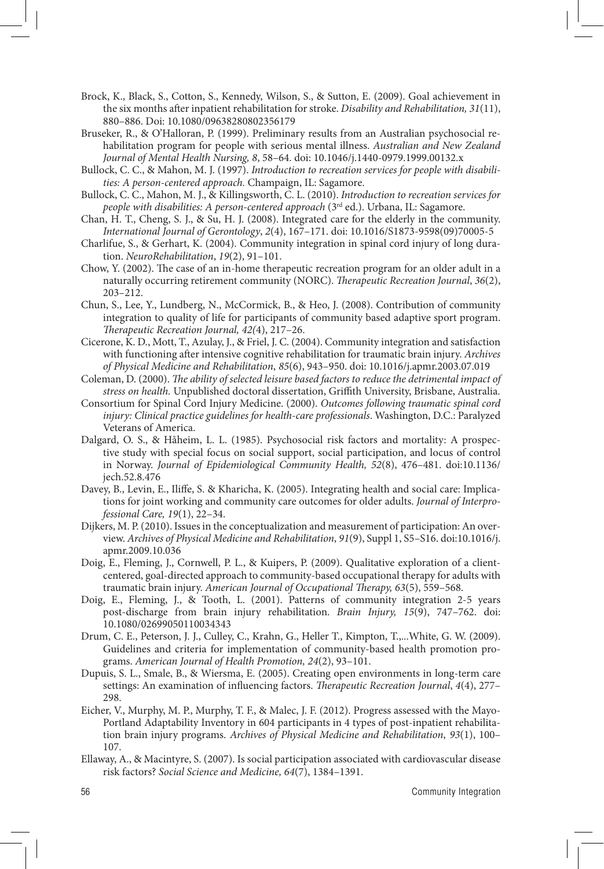- Brock, K., Black, S., Cotton, S., Kennedy, Wilson, S., & Sutton, E. (2009). Goal achievement in the six months after inpatient rehabilitation for stroke. *Disability and Rehabilitation, 31*(11), 880–886. Doi: 10.1080/09638280802356179
- Bruseker, R., & O'Halloran, P. (1999). Preliminary results from an Australian psychosocial rehabilitation program for people with serious mental illness. *Australian and New Zealand Journal of Mental Health Nursing, 8*, 58–64. doi: 10.1046/j.1440-0979.1999.00132.x
- Bullock, C. C., & Mahon, M. J. (1997). *Introduction to recreation services for people with disabilities: A person-centered approach.* Champaign, IL: Sagamore.
- Bullock, C. C., Mahon, M. J., & Killingsworth, C. L. (2010). *Introduction to recreation services for people with disabilities: A person-centered approach* (3<sup>rd</sup> ed.). Urbana, IL: Sagamore.
- Chan, H. T., Cheng, S. J., & Su, H. J. (2008). Integrated care for the elderly in the community. *International Journal of Gerontology*, *2*(4), 167–171. doi: 10.1016/S1873-9598(09)70005-5
- Charlifue, S., & Gerhart, K. (2004). Community integration in spinal cord injury of long duration. *NeuroRehabilitation*, *19*(2), 91–101.
- Chow, Y. (2002). The case of an in-home therapeutic recreation program for an older adult in a naturally occurring retirement community (NORC). *Therapeutic Recreation Journal*, *36*(2), 203–212.
- Chun, S., Lee, Y., Lundberg, N., McCormick, B., & Heo, J. (2008). Contribution of community integration to quality of life for participants of community based adaptive sport program. *Therapeutic Recreation Journal, 42(*4), 217–26.
- Cicerone, K. D., Mott, T., Azulay, J., & Friel, J. C. (2004). Community integration and satisfaction with functioning after intensive cognitive rehabilitation for traumatic brain injury. *Archives of Physical Medicine and Rehabilitation*, *85*(6), 943–950. doi: 10.1016/j.apmr.2003.07.019
- Coleman, D. (2000). *The ability of selected leisure based factors to reduce the detrimental impact of stress on health.* Unpublished doctoral dissertation, Griffith University, Brisbane, Australia.
- Consortium for Spinal Cord Injury Medicine. (2000). *Outcomes following traumatic spinal cord injury: Clinical practice guidelines for health-care professionals*. Washington, D.C.: Paralyzed Veterans of America.
- Dalgard, O. S., & Håheim, L. L. (1985). Psychosocial risk factors and mortality: A prospective study with special focus on social support, social participation, and locus of control in Norway. *Journal of Epidemiological Community Health, 52*(8), 476–481. doi:10.1136/ jech.52.8.476
- Davey, B., Levin, E., Iliffe, S. & Kharicha, K. (2005). Integrating health and social care: Implications for joint working and community care outcomes for older adults. *Journal of Interprofessional Care, 19*(1), 22–34.
- Dijkers, M. P. (2010). Issues in the conceptualization and measurement of participation: An overview. *Archives of Physical Medicine and Rehabilitation*, *91*(9), Suppl 1, S5–S16. doi:10.1016/j. apmr.2009.10.036
- Doig, E., Fleming, J., Cornwell, P. L., & Kuipers, P. (2009). Qualitative exploration of a clientcentered, goal-directed approach to community-based occupational therapy for adults with traumatic brain injury. *American Journal of Occupational Therapy, 63*(5), 559–568.
- Doig, E., Fleming, J., & Tooth, L. (2001). Patterns of community integration 2-5 years post-discharge from brain injury rehabilitation. *Brain Injury, 15*(9), 747–762. doi: 10.1080/02699050110034343
- Drum, C. E., Peterson, J. J., Culley, C., Krahn, G., Heller T., Kimpton, T.,...White, G. W. (2009). Guidelines and criteria for implementation of community-based health promotion programs. *American Journal of Health Promotion, 24*(2), 93–101.
- Dupuis, S. L., Smale, B., & Wiersma, E. (2005). Creating open environments in long-term care settings: An examination of influencing factors. *Therapeutic Recreation Journal*, *4*(4), 277– 298.
- Eicher, V., Murphy, M. P., Murphy, T. F., & Malec, J. F. (2012). Progress assessed with the Mayo-Portland Adaptability Inventory in 604 participants in 4 types of post-inpatient rehabilitation brain injury programs. *Archives of Physical Medicine and Rehabilitation*, *93*(1), 100– 107.
- Ellaway, A., & Macintyre, S. (2007). Is social participation associated with cardiovascular disease risk factors? *Social Science and Medicine, 64*(7), 1384–1391.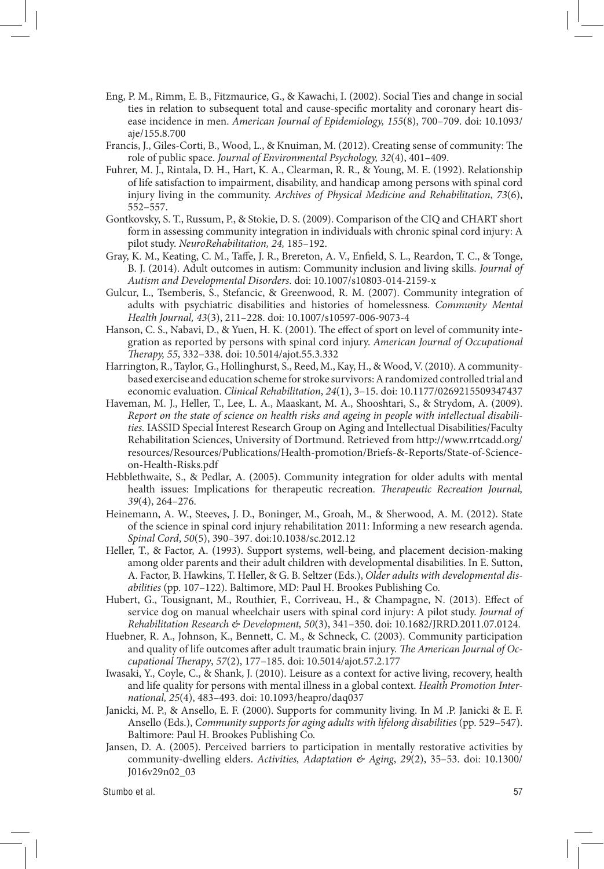- Eng, P. M., Rimm, E. B., Fitzmaurice, G., & Kawachi, I. (2002). Social Ties and change in social ties in relation to subsequent total and cause-specific mortality and coronary heart disease incidence in men. *American Journal of Epidemiology, 155*(8), 700–709. doi: 10.1093/ aje/155.8.700
- Francis, J., Giles-Corti, B., Wood, L., & Knuiman, M. (2012). Creating sense of community: The role of public space. *Journal of Environmental Psychology, 32*(4), 401–409.
- Fuhrer, M. J., Rintala, D. H., Hart, K. A., Clearman, R. R., & Young, M. E. (1992). Relationship of life satisfaction to impairment, disability, and handicap among persons with spinal cord injury living in the community. *Archives of Physical Medicine and Rehabilitation*, *73*(6), 552–557.
- Gontkovsky, S. T., Russum, P., & Stokie, D. S. (2009). Comparison of the CIQ and CHART short form in assessing community integration in individuals with chronic spinal cord injury: A pilot study. *NeuroRehabilitation, 24,* 185–192.
- Gray, K. M., Keating, C. M., Taffe, J. R., Brereton, A. V., Enfield, S. L., Reardon, T. C., & Tonge, B. J. (2014). Adult outcomes in autism: Community inclusion and living skills. *Journal of Autism and Developmental Disorders*. doi: 10.1007/s10803-014-2159-x
- Gulcur, L., Tsemberis, S., Stefancic, & Greenwood, R. M. (2007). Community integration of adults with psychiatric disabilities and histories of homelessness. *Community Mental Health Journal, 43*(3), 211–228. doi: 10.1007/s10597-006-9073-4
- Hanson, C. S., Nabavi, D., & Yuen, H. K. (2001). The effect of sport on level of community integration as reported by persons with spinal cord injury. *American Journal of Occupational Therapy, 55*, 332–338. doi: 10.5014/ajot.55.3.332
- Harrington, R., Taylor, G., Hollinghurst, S., Reed, M., Kay, H., & Wood, V. (2010). A communitybased exercise and education scheme for stroke survivors: A randomized controlled trial and economic evaluation. *Clinical Rehabilitation*, *24*(1), 3–15. doi: 10.1177/0269215509347437
- Haveman, M. J., Heller, T., Lee, L. A., Maaskant, M. A., Shooshtari, S., & Strydom, A. (2009). *Report on the state of science on health risks and ageing in people with intellectual disabilities.* IASSID Special Interest Research Group on Aging and Intellectual Disabilities/Faculty Rehabilitation Sciences, University of Dortmund. Retrieved from http://www.rrtcadd.org/ resources/Resources/Publications/Health-promotion/Briefs-&-Reports/State-of-Scienceon-Health-Risks.pdf
- Hebblethwaite, S., & Pedlar, A. (2005). Community integration for older adults with mental health issues: Implications for therapeutic recreation. *Therapeutic Recreation Journal, 39*(4), 264–276.
- Heinemann, A. W., Steeves, J. D., Boninger, M., Groah, M., & Sherwood, A. M. (2012). State of the science in spinal cord injury rehabilitation 2011: Informing a new research agenda. *Spinal Cord*, *50*(5), 390–397. doi:10.1038/sc.2012.12
- Heller, T., & Factor, A. (1993). Support systems, well-being, and placement decision-making among older parents and their adult children with developmental disabilities. In E. Sutton, A. Factor, B. Hawkins, T. Heller, & G. B. Seltzer (Eds.), *Older adults with developmental disabilities* (pp. 107–122). Baltimore, MD: Paul H. Brookes Publishing Co.
- Hubert, G., Tousignant, M., Routhier, F., Corriveau, H., & Champagne, N. (2013). Effect of service dog on manual wheelchair users with spinal cord injury: A pilot study. *Journal of Rehabilitation Research & Development, 50*(3), 341–350. doi: 10.1682/JRRD.2011.07.0124.
- Huebner, R. A., Johnson, K., Bennett, C. M., & Schneck, C. (2003). Community participation and quality of life outcomes after adult traumatic brain injury. *The American Journal of Occupational Therapy*, *57*(2), 177–185. doi: 10.5014/ajot.57.2.177
- Iwasaki, Y., Coyle, C., & Shank, J. (2010). Leisure as a context for active living, recovery, health and life quality for persons with mental illness in a global context. *Health Promotion International, 25*(4), 483–493. doi: 10.1093/heapro/daq037
- Janicki, M. P., & Ansello, E. F. (2000). Supports for community living. In M .P. Janicki & E. F. Ansello (Eds.), *Community supports for aging adults with lifelong disabilities* (pp. 529–547). Baltimore: Paul H. Brookes Publishing Co.
- Jansen, D. A. (2005). Perceived barriers to participation in mentally restorative activities by community-dwelling elders. *Activities, Adaptation & Aging*, *29*(2), 35–53. doi: 10.1300/ J016v29n02\_03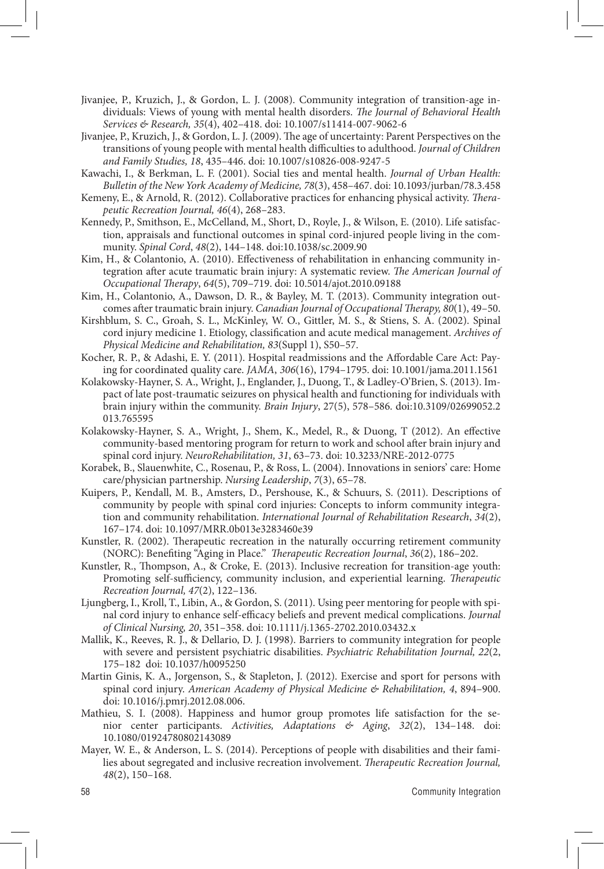- Jivanjee, P., Kruzich, J., & Gordon, L. J. (2008). Community integration of transition-age individuals: Views of young with mental health disorders. *The Journal of Behavioral Health Services & Research, 35*(4), 402–418. doi: 10.1007/s11414-007-9062-6
- Jivanjee, P., Kruzich, J., & Gordon, L. J. (2009). The age of uncertainty: Parent Perspectives on the transitions of young people with mental health difficulties to adulthood. *Journal of Children and Family Studies, 18*, 435–446. doi: 10.1007/s10826-008-9247-5
- Kawachi, I., & Berkman, L. F. (2001). Social ties and mental health. *Journal of Urban Health: Bulletin of the New York Academy of Medicine, 78*(3), 458–467. doi: 10.1093/jurban/78.3.458
- Kemeny, E., & Arnold, R. (2012). Collaborative practices for enhancing physical activity. *Therapeutic Recreation Journal, 46*(4), 268–283.
- Kennedy, P., Smithson, E., McCelland, M., Short, D., Royle, J., & Wilson, E. (2010). Life satisfaction, appraisals and functional outcomes in spinal cord-injured people living in the community. *Spinal Cord*, *48*(2), 144–148. doi:10.1038/sc.2009.90
- Kim, H., & Colantonio, A. (2010). Effectiveness of rehabilitation in enhancing community integration after acute traumatic brain injury: A systematic review. *The American Journal of Occupational Therapy*, *64*(5), 709–719. doi: 10.5014/ajot.2010.09188
- Kim, H., Colantonio, A., Dawson, D. R., & Bayley, M. T. (2013). Community integration outcomes after traumatic brain injury. *Canadian Journal of Occupational Therapy, 80*(1), 49–50.
- Kirshblum, S. C., Groah, S. L., McKinley, W. O., Gittler, M. S., & Stiens, S. A. (2002). Spinal cord injury medicine 1. Etiology, classification and acute medical management. *Archives of Physical Medicine and Rehabilitation, 83*(Suppl 1), S50–57.
- Kocher, R. P., & Adashi, E. Y. (2011). Hospital readmissions and the Affordable Care Act: Paying for coordinated quality care. *JAMA*, *306*(16), 1794–1795. doi: 10.1001/jama.2011.1561
- Kolakowsky-Hayner, S. A., Wright, J., Englander, J., Duong, T., & Ladley-O'Brien, S. (2013). Impact of late post-traumatic seizures on physical health and functioning for individuals with brain injury within the community. *Brain Injury*, 27(5), 578–586. doi:10.3109/02699052.2 013.765595
- Kolakowsky-Hayner, S. A., Wright, J., Shem, K., Medel, R., & Duong, T (2012). An effective community-based mentoring program for return to work and school after brain injury and spinal cord injury. *NeuroRehabilitation, 31*, 63–73. doi: 10.3233/NRE-2012-0775
- Korabek, B., Slauenwhite, C., Rosenau, P., & Ross, L. (2004). Innovations in seniors' care: Home care/physician partnership. *Nursing Leadership*, *7*(3), 65–78.
- Kuipers, P., Kendall, M. B., Amsters, D., Pershouse, K., & Schuurs, S. (2011). Descriptions of community by people with spinal cord injuries: Concepts to inform community integration and community rehabilitation. *International Journal of Rehabilitation Research*, *34*(2), 167–174. doi: 10.1097/MRR.0b013e3283460e39
- Kunstler, R. (2002). Therapeutic recreation in the naturally occurring retirement community (NORC): Benefiting "Aging in Place." *Therapeutic Recreation Journal*, *36*(2), 186–202.
- Kunstler, R., Thompson, A., & Croke, E. (2013). Inclusive recreation for transition-age youth: Promoting self-sufficiency, community inclusion, and experiential learning. *Therapeutic Recreation Journal, 47*(2), 122–136.
- Ljungberg, I., Kroll, T., Libin, A., & Gordon, S. (2011). Using peer mentoring for people with spinal cord injury to enhance self-efficacy beliefs and prevent medical complications. *Journal of Clinical Nursing, 20*, 351–358. doi: 10.1111/j.1365-2702.2010.03432.x
- Mallik, K., Reeves, R. J., & Dellario, D. J. (1998). Barriers to community integration for people with severe and persistent psychiatric disabilities. *Psychiatric Rehabilitation Journal, 22*(2, 175–182 doi: 10.1037/h0095250
- Martin Ginis, K. A., Jorgenson, S., & Stapleton, J. (2012). Exercise and sport for persons with spinal cord injury. *American Academy of Physical Medicine & Rehabilitation, 4*, 894–900. doi: 10.1016/j.pmrj.2012.08.006.
- Mathieu, S. I. (2008). Happiness and humor group promotes life satisfaction for the senior center participants. *Activities, Adaptations & Aging*, *32*(2), 134–148. doi: 10.1080/01924780802143089
- Mayer, W. E., & Anderson, L. S. (2014). Perceptions of people with disabilities and their families about segregated and inclusive recreation involvement. *Therapeutic Recreation Journal, 48*(2), 150–168.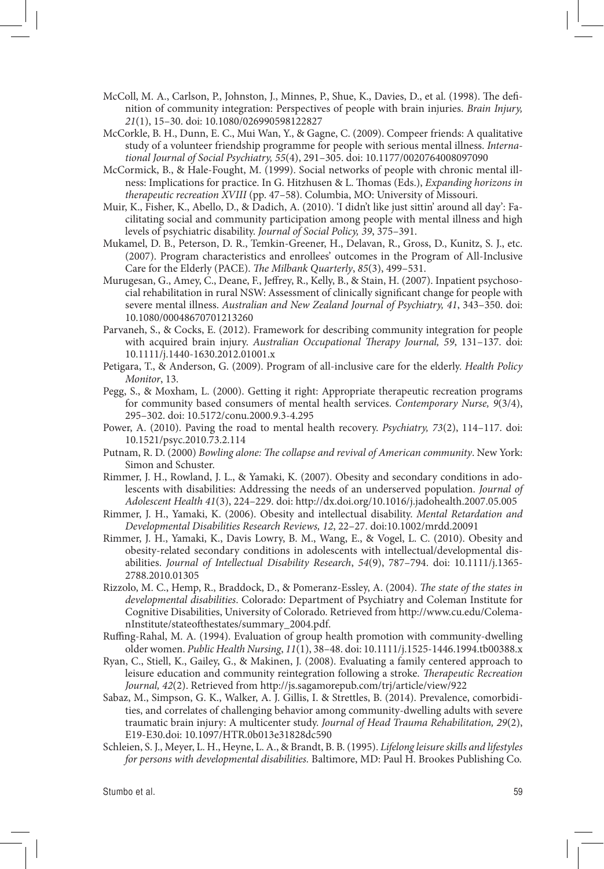- McColl, M. A., Carlson, P., Johnston, J., Minnes, P., Shue, K., Davies, D., et al. (1998). The definition of community integration: Perspectives of people with brain injuries. *Brain Injury, 21*(1), 15–30. doi: 10.1080/026990598122827
- McCorkle, B. H., Dunn, E. C., Mui Wan, Y., & Gagne, C. (2009). Compeer friends: A qualitative study of a volunteer friendship programme for people with serious mental illness. *International Journal of Social Psychiatry, 55*(4), 291–305. doi: 10.1177/0020764008097090
- McCormick, B., & Hale-Fought, M. (1999). Social networks of people with chronic mental illness: Implications for practice. In G. Hitzhusen & L. Thomas (Eds.), *Expanding horizons in therapeutic recreation XVIII* (pp. 47–58). Columbia, MO: University of Missouri.
- Muir, K., Fisher, K., Abello, D., & Dadich, A. (2010). 'I didn't like just sittin' around all day': Facilitating social and community participation among people with mental illness and high levels of psychiatric disability. *Journal of Social Policy, 39*, 375–391.
- Mukamel, D. B., Peterson, D. R., Temkin-Greener, H., Delavan, R., Gross, D., Kunitz, S. J., etc. (2007). Program characteristics and enrollees' outcomes in the Program of All-Inclusive Care for the Elderly (PACE). *The Milbank Quarterly*, *85*(3), 499–531.
- Murugesan, G., Amey, C., Deane, F., Jeffrey, R., Kelly, B., & Stain, H. (2007). Inpatient psychosocial rehabilitation in rural NSW: Assessment of clinically significant change for people with severe mental illness. *Australian and New Zealand Journal of Psychiatry, 41*, 343–350. doi: 10.1080/00048670701213260
- Parvaneh, S., & Cocks, E. (2012). Framework for describing community integration for people with acquired brain injury. *Australian Occupational Therapy Journal, 59*, 131–137. doi: 10.1111/j.1440-1630.2012.01001.x
- Petigara, T., & Anderson, G. (2009). Program of all-inclusive care for the elderly. *Health Policy Monitor*, 13.
- Pegg, S., & Moxham, L. (2000). Getting it right: Appropriate therapeutic recreation programs for community based consumers of mental health services. *Contemporary Nurse, 9*(3/4), 295–302. doi: 10.5172/conu.2000.9.3-4.295
- Power, A. (2010). Paving the road to mental health recovery. *Psychiatry, 73*(2), 114–117. doi: 10.1521/psyc.2010.73.2.114
- Putnam, R. D. (2000) *Bowling alone: The collapse and revival of American community*. New York: Simon and Schuster.
- Rimmer, J. H., Rowland, J. L., & Yamaki, K. (2007). Obesity and secondary conditions in adolescents with disabilities: Addressing the needs of an underserved population. *Journal of Adolescent Health 41*(3), 224–229. doi: http://dx.doi.org/10.1016/j.jadohealth.2007.05.005
- Rimmer, J. H., Yamaki, K. (2006). Obesity and intellectual disability. *Mental Retardation and Developmental Disabilities Research Reviews, 12*, 22–27. doi:10.1002/mrdd.20091
- Rimmer, J. H., Yamaki, K., Davis Lowry, B. M., Wang, E., & Vogel, L. C. (2010). Obesity and obesity-related secondary conditions in adolescents with intellectual/developmental disabilities. *Journal of Intellectual Disability Research*, *54*(9), 787–794. doi: 10.1111/j.1365- 2788.2010.01305
- Rizzolo, M. C., Hemp, R., Braddock, D., & Pomeranz-Essley, A. (2004). *The state of the states in developmental disabilities*. Colorado: Department of Psychiatry and Coleman Institute for Cognitive Disabilities, University of Colorado. Retrieved from http://www.cu.edu/ColemanInstitute/stateofthestates/summary\_2004.pdf.
- Ruffing-Rahal, M. A. (1994). Evaluation of group health promotion with community-dwelling older women. *Public Health Nursing*, *11*(1), 38–48. doi: 10.1111/j.1525-1446.1994.tb00388.x
- Ryan, C., Stiell, K., Gailey, G., & Makinen, J. (2008). Evaluating a family centered approach to leisure education and community reintegration following a stroke. *Therapeutic Recreation Journal, 42*(2). Retrieved from http://js.sagamorepub.com/trj/article/view/922
- Sabaz, M., Simpson, G. K., Walker, A. J. Gillis, I. & Strettles, B. (2014). Prevalence, comorbidities, and correlates of challenging behavior among community-dwelling adults with severe traumatic brain injury: A multicenter study. *Journal of Head Trauma Rehabilitation, 29*(2), E19-E30.doi: 10.1097/HTR.0b013e31828dc590
- Schleien, S. J., Meyer, L. H., Heyne, L. A., & Brandt, B. B. (1995). *Lifelong leisure skills and lifestyles for persons with developmental disabilities.* Baltimore, MD: Paul H. Brookes Publishing Co.